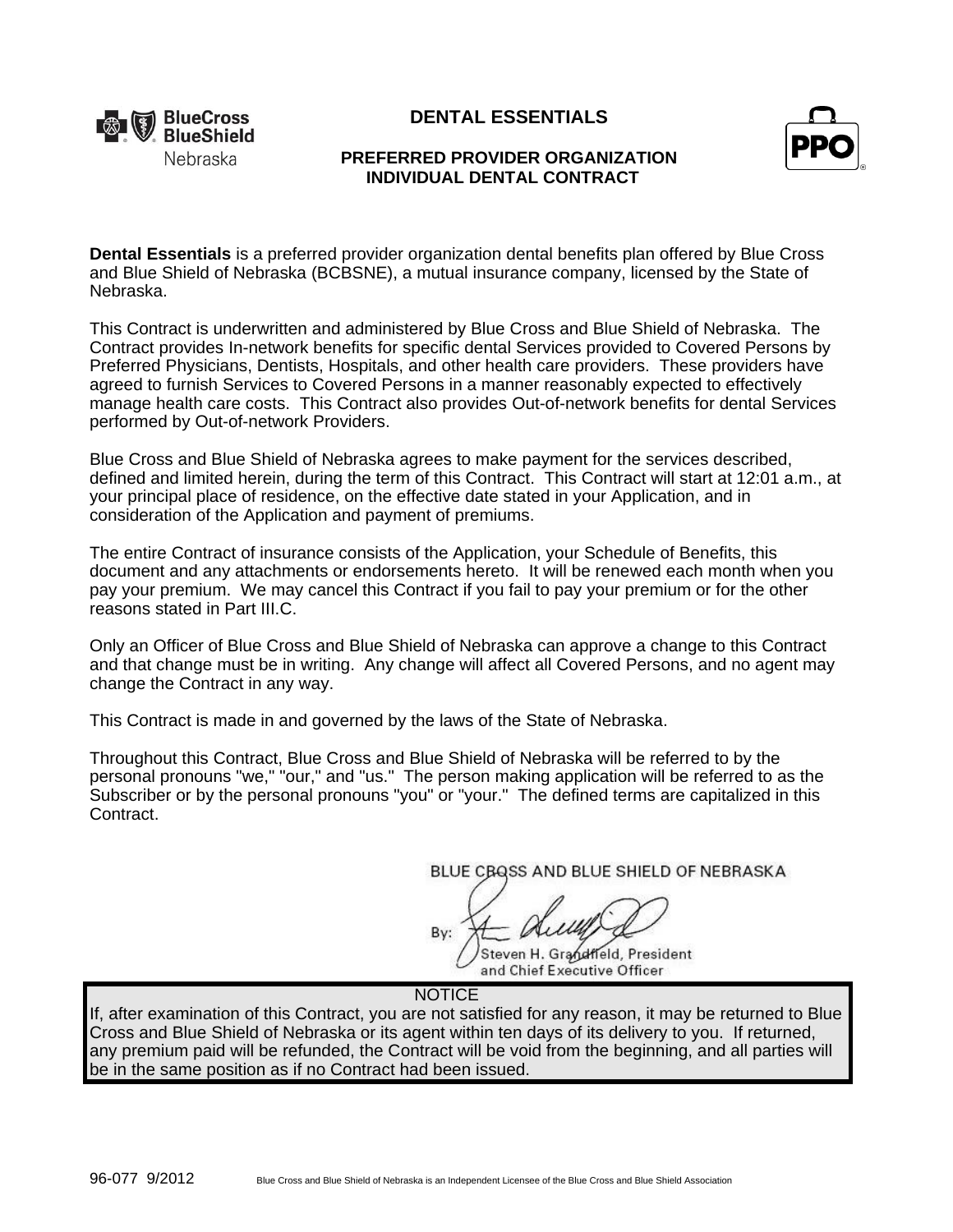

# **DENTAL ESSENTIALS**



# **PREFERRED PROVIDER ORGANIZATION INDIVIDUAL DENTAL CONTRACT**

**Dental Essentials** is a preferred provider organization dental benefits plan offered by Blue Cross and Blue Shield of Nebraska (BCBSNE), a mutual insurance company, licensed by the State of Nebraska.

This Contract is underwritten and administered by Blue Cross and Blue Shield of Nebraska. The Contract provides In-network benefits for specific dental Services provided to Covered Persons by Preferred Physicians, Dentists, Hospitals, and other health care providers. These providers have agreed to furnish Services to Covered Persons in a manner reasonably expected to effectively manage health care costs. This Contract also provides Out-of-network benefits for dental Services performed by Out-of-network Providers.

Blue Cross and Blue Shield of Nebraska agrees to make payment for the services described, defined and limited herein, during the term of this Contract. This Contract will start at 12:01 a.m., at your principal place of residence, on the effective date stated in your Application, and in consideration of the Application and payment of premiums.

The entire Contract of insurance consists of the Application, your Schedule of Benefits, this document and any attachments or endorsements hereto. It will be renewed each month when you pay your premium. We may cancel this Contract if you fail to pay your premium or for the other reasons stated in Part III.C.

Only an Officer of Blue Cross and Blue Shield of Nebraska can approve a change to this Contract and that change must be in writing. Any change will affect all Covered Persons, and no agent may change the Contract in any way.

This Contract is made in and governed by the laws of the State of Nebraska.

Throughout this Contract, Blue Cross and Blue Shield of Nebraska will be referred to by the personal pronouns "we," "our," and "us." The person making application will be referred to as the Subscriber or by the personal pronouns "you" or "your." The defined terms are capitalized in this Contract.

BLUE CBQSS AND BLUE SHIELD OF NEBRASKA

By:

Steven H. Grandfield, President and Chief Executive Officer

**NOTICE** 

If, after examination of this Contract, you are not satisfied for any reason, it may be returned to Blue Cross and Blue Shield of Nebraska or its agent within ten days of its delivery to you. If returned, any premium paid will be refunded, the Contract will be void from the beginning, and all parties will be in the same position as if no Contract had been issued.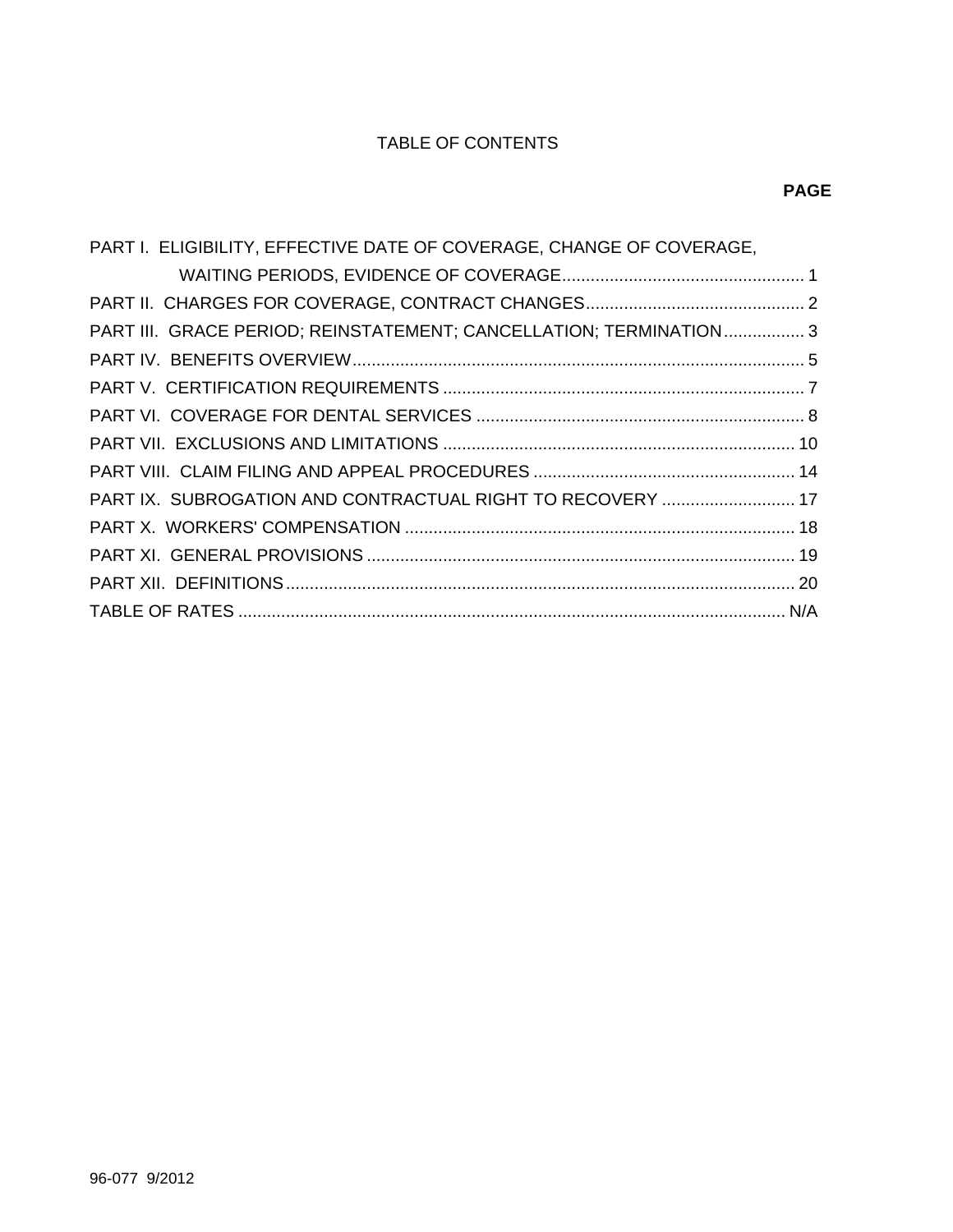# TABLE OF CONTENTS

| PART I. ELIGIBILITY, EFFECTIVE DATE OF COVERAGE, CHANGE OF COVERAGE, |  |
|----------------------------------------------------------------------|--|
|                                                                      |  |
|                                                                      |  |
| PART III. GRACE PERIOD; REINSTATEMENT; CANCELLATION; TERMINATION 3   |  |
|                                                                      |  |
|                                                                      |  |
|                                                                      |  |
|                                                                      |  |
|                                                                      |  |
| PART IX. SUBROGATION AND CONTRACTUAL RIGHT TO RECOVERY  17           |  |
|                                                                      |  |
|                                                                      |  |
|                                                                      |  |
|                                                                      |  |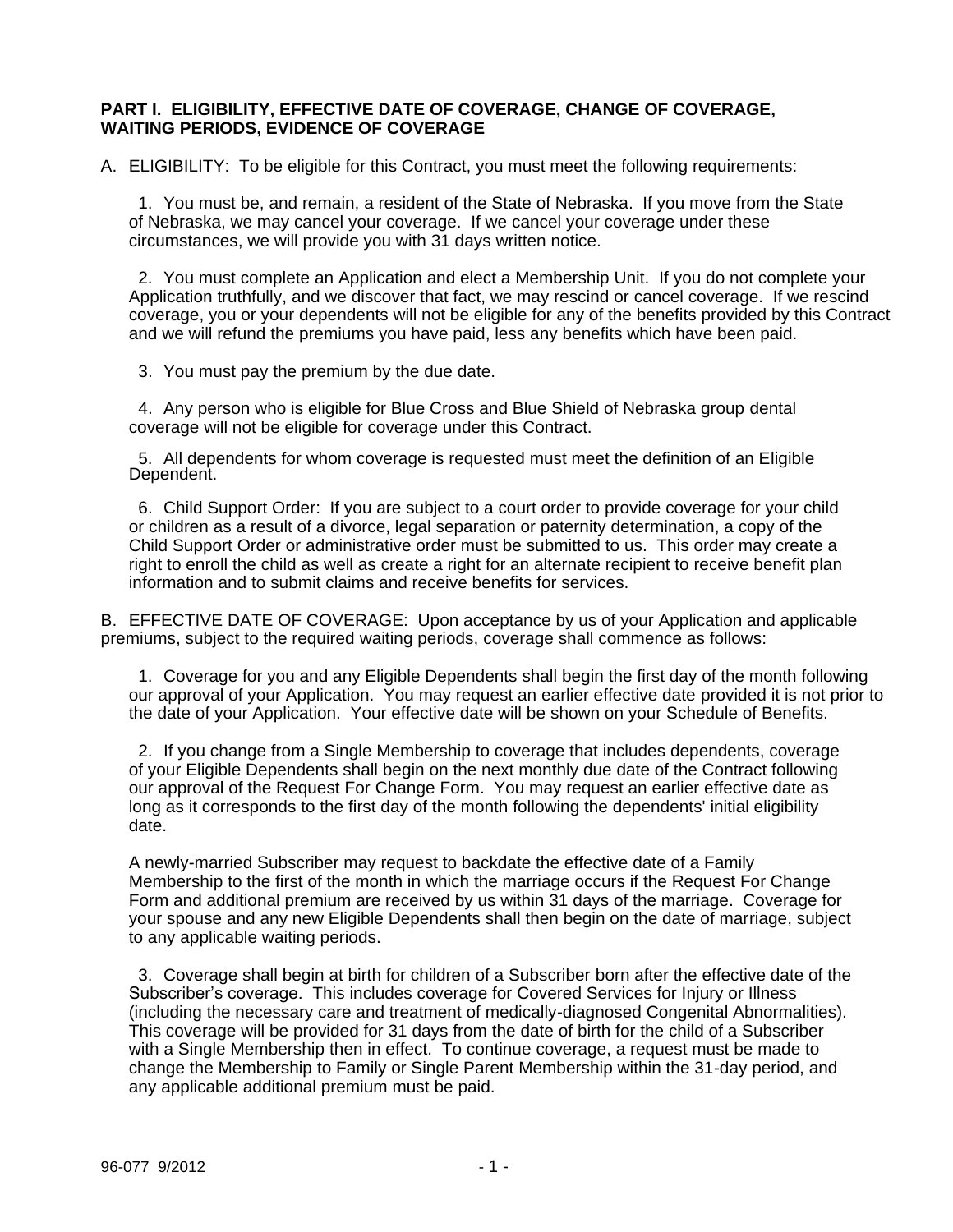### **PART I. ELIGIBILITY, EFFECTIVE DATE OF COVERAGE, CHANGE OF COVERAGE, WAITING PERIODS, EVIDENCE OF COVERAGE**

A. ELIGIBILITY: To be eligible for this Contract, you must meet the following requirements:

 1. You must be, and remain, a resident of the State of Nebraska. If you move from the State of Nebraska, we may cancel your coverage. If we cancel your coverage under these circumstances, we will provide you with 31 days written notice.

 2. You must complete an Application and elect a Membership Unit. If you do not complete your Application truthfully, and we discover that fact, we may rescind or cancel coverage. If we rescind coverage, you or your dependents will not be eligible for any of the benefits provided by this Contract and we will refund the premiums you have paid, less any benefits which have been paid.

3. You must pay the premium by the due date.

 4. Any person who is eligible for Blue Cross and Blue Shield of Nebraska group dental coverage will not be eligible for coverage under this Contract.

 5. All dependents for whom coverage is requested must meet the definition of an Eligible Dependent.

 6. Child Support Order: If you are subject to a court order to provide coverage for your child or children as a result of a divorce, legal separation or paternity determination, a copy of the Child Support Order or administrative order must be submitted to us. This order may create a right to enroll the child as well as create a right for an alternate recipient to receive benefit plan information and to submit claims and receive benefits for services.

B. EFFECTIVE DATE OF COVERAGE: Upon acceptance by us of your Application and applicable premiums, subject to the required waiting periods, coverage shall commence as follows:

 1. Coverage for you and any Eligible Dependents shall begin the first day of the month following our approval of your Application. You may request an earlier effective date provided it is not prior to the date of your Application. Your effective date will be shown on your Schedule of Benefits.

 2. If you change from a Single Membership to coverage that includes dependents, coverage of your Eligible Dependents shall begin on the next monthly due date of the Contract following our approval of the Request For Change Form. You may request an earlier effective date as long as it corresponds to the first day of the month following the dependents' initial eligibility date.

A newly-married Subscriber may request to backdate the effective date of a Family Membership to the first of the month in which the marriage occurs if the Request For Change Form and additional premium are received by us within 31 days of the marriage. Coverage for your spouse and any new Eligible Dependents shall then begin on the date of marriage, subject to any applicable waiting periods.

 3. Coverage shall begin at birth for children of a Subscriber born after the effective date of the Subscriber's coverage. This includes coverage for Covered Services for Injury or Illness (including the necessary care and treatment of medically-diagnosed Congenital Abnormalities). This coverage will be provided for 31 days from the date of birth for the child of a Subscriber with a Single Membership then in effect. To continue coverage, a request must be made to change the Membership to Family or Single Parent Membership within the 31-day period, and any applicable additional premium must be paid.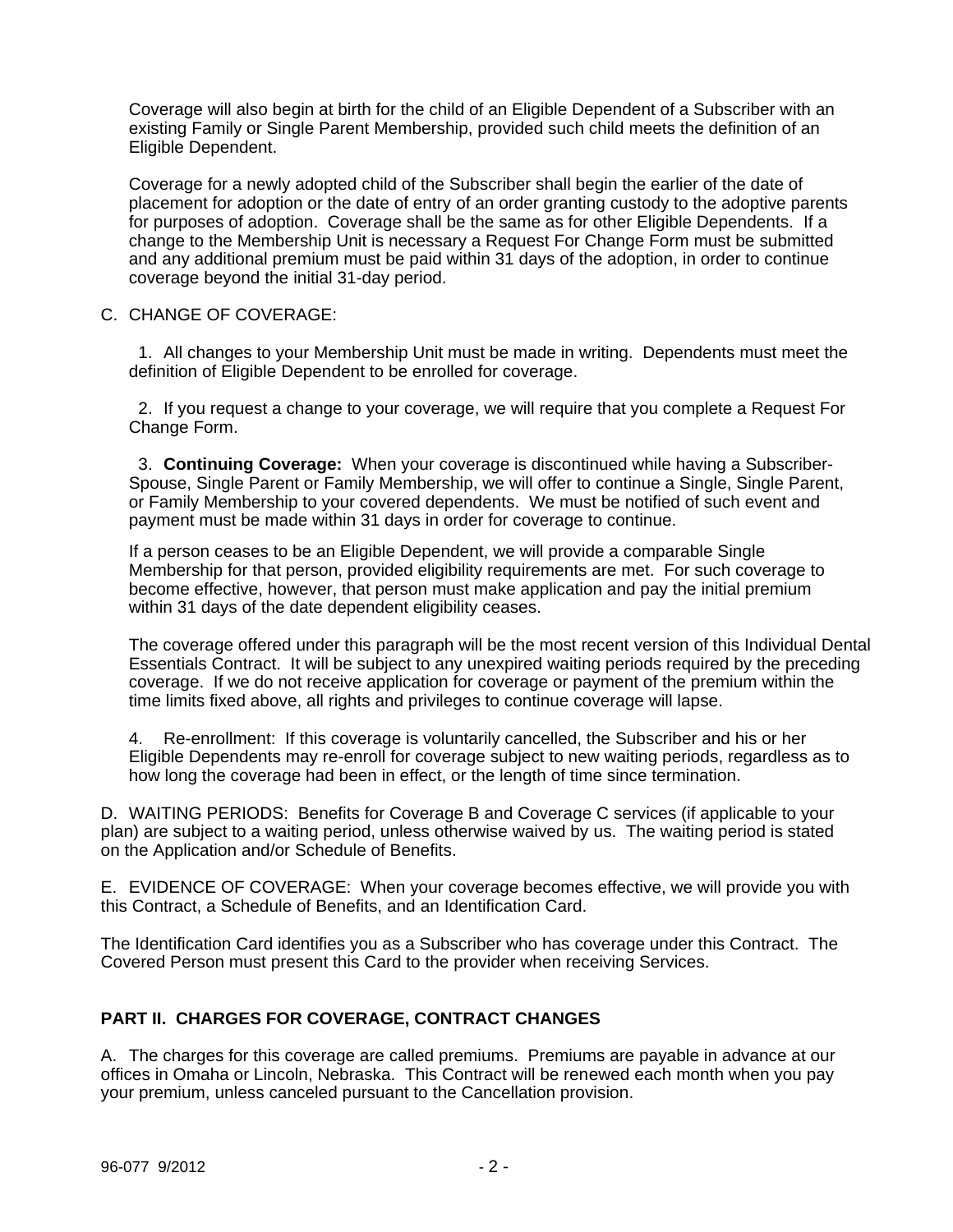Coverage will also begin at birth for the child of an Eligible Dependent of a Subscriber with an existing Family or Single Parent Membership, provided such child meets the definition of an Eligible Dependent.

Coverage for a newly adopted child of the Subscriber shall begin the earlier of the date of placement for adoption or the date of entry of an order granting custody to the adoptive parents for purposes of adoption. Coverage shall be the same as for other Eligible Dependents. If a change to the Membership Unit is necessary a Request For Change Form must be submitted and any additional premium must be paid within 31 days of the adoption, in order to continue coverage beyond the initial 31-day period.

## C. CHANGE OF COVERAGE:

 1. All changes to your Membership Unit must be made in writing. Dependents must meet the definition of Eligible Dependent to be enrolled for coverage.

 2. If you request a change to your coverage, we will require that you complete a Request For Change Form.

 3. **Continuing Coverage:** When your coverage is discontinued while having a Subscriber-Spouse, Single Parent or Family Membership, we will offer to continue a Single, Single Parent, or Family Membership to your covered dependents. We must be notified of such event and payment must be made within 31 days in order for coverage to continue.

If a person ceases to be an Eligible Dependent, we will provide a comparable Single Membership for that person, provided eligibility requirements are met. For such coverage to become effective, however, that person must make application and pay the initial premium within 31 days of the date dependent eligibility ceases.

The coverage offered under this paragraph will be the most recent version of this Individual Dental Essentials Contract. It will be subject to any unexpired waiting periods required by the preceding coverage. If we do not receive application for coverage or payment of the premium within the time limits fixed above, all rights and privileges to continue coverage will lapse.

4. Re-enrollment: If this coverage is voluntarily cancelled, the Subscriber and his or her Eligible Dependents may re-enroll for coverage subject to new waiting periods, regardless as to how long the coverage had been in effect, or the length of time since termination.

D. WAITING PERIODS: Benefits for Coverage B and Coverage C services (if applicable to your plan) are subject to a waiting period, unless otherwise waived by us. The waiting period is stated on the Application and/or Schedule of Benefits.

E. EVIDENCE OF COVERAGE: When your coverage becomes effective, we will provide you with this Contract, a Schedule of Benefits, and an Identification Card.

The Identification Card identifies you as a Subscriber who has coverage under this Contract. The Covered Person must present this Card to the provider when receiving Services.

## **PART II. CHARGES FOR COVERAGE, CONTRACT CHANGES**

A. The charges for this coverage are called premiums. Premiums are payable in advance at our offices in Omaha or Lincoln, Nebraska. This Contract will be renewed each month when you pay your premium, unless canceled pursuant to the Cancellation provision.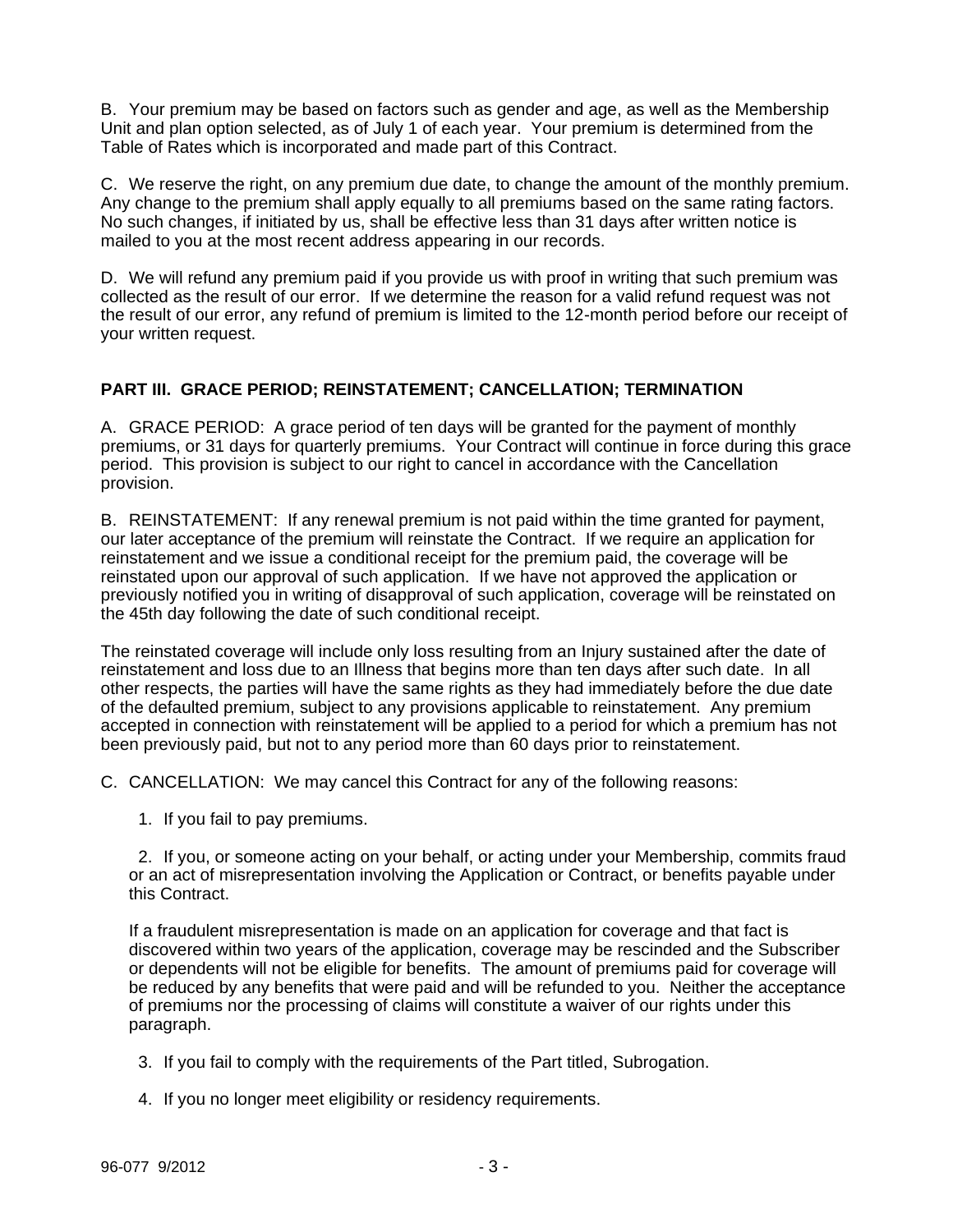B. Your premium may be based on factors such as gender and age, as well as the Membership Unit and plan option selected, as of July 1 of each year. Your premium is determined from the Table of Rates which is incorporated and made part of this Contract.

C. We reserve the right, on any premium due date, to change the amount of the monthly premium. Any change to the premium shall apply equally to all premiums based on the same rating factors. No such changes, if initiated by us, shall be effective less than 31 days after written notice is mailed to you at the most recent address appearing in our records.

D. We will refund any premium paid if you provide us with proof in writing that such premium was collected as the result of our error. If we determine the reason for a valid refund request was not the result of our error, any refund of premium is limited to the 12-month period before our receipt of your written request.

# **PART III. GRACE PERIOD; REINSTATEMENT; CANCELLATION; TERMINATION**

A. GRACE PERIOD: A grace period of ten days will be granted for the payment of monthly premiums, or 31 days for quarterly premiums. Your Contract will continue in force during this grace period. This provision is subject to our right to cancel in accordance with the Cancellation provision.

B. REINSTATEMENT: If any renewal premium is not paid within the time granted for payment, our later acceptance of the premium will reinstate the Contract. If we require an application for reinstatement and we issue a conditional receipt for the premium paid, the coverage will be reinstated upon our approval of such application. If we have not approved the application or previously notified you in writing of disapproval of such application, coverage will be reinstated on the 45th day following the date of such conditional receipt.

The reinstated coverage will include only loss resulting from an Injury sustained after the date of reinstatement and loss due to an Illness that begins more than ten days after such date. In all other respects, the parties will have the same rights as they had immediately before the due date of the defaulted premium, subject to any provisions applicable to reinstatement. Any premium accepted in connection with reinstatement will be applied to a period for which a premium has not been previously paid, but not to any period more than 60 days prior to reinstatement.

C. CANCELLATION: We may cancel this Contract for any of the following reasons:

1. If you fail to pay premiums.

 2. If you, or someone acting on your behalf, or acting under your Membership, commits fraud or an act of misrepresentation involving the Application or Contract, or benefits payable under this Contract.

If a fraudulent misrepresentation is made on an application for coverage and that fact is discovered within two years of the application, coverage may be rescinded and the Subscriber or dependents will not be eligible for benefits. The amount of premiums paid for coverage will be reduced by any benefits that were paid and will be refunded to you. Neither the acceptance of premiums nor the processing of claims will constitute a waiver of our rights under this paragraph.

- 3. If you fail to comply with the requirements of the Part titled, Subrogation.
- 4. If you no longer meet eligibility or residency requirements.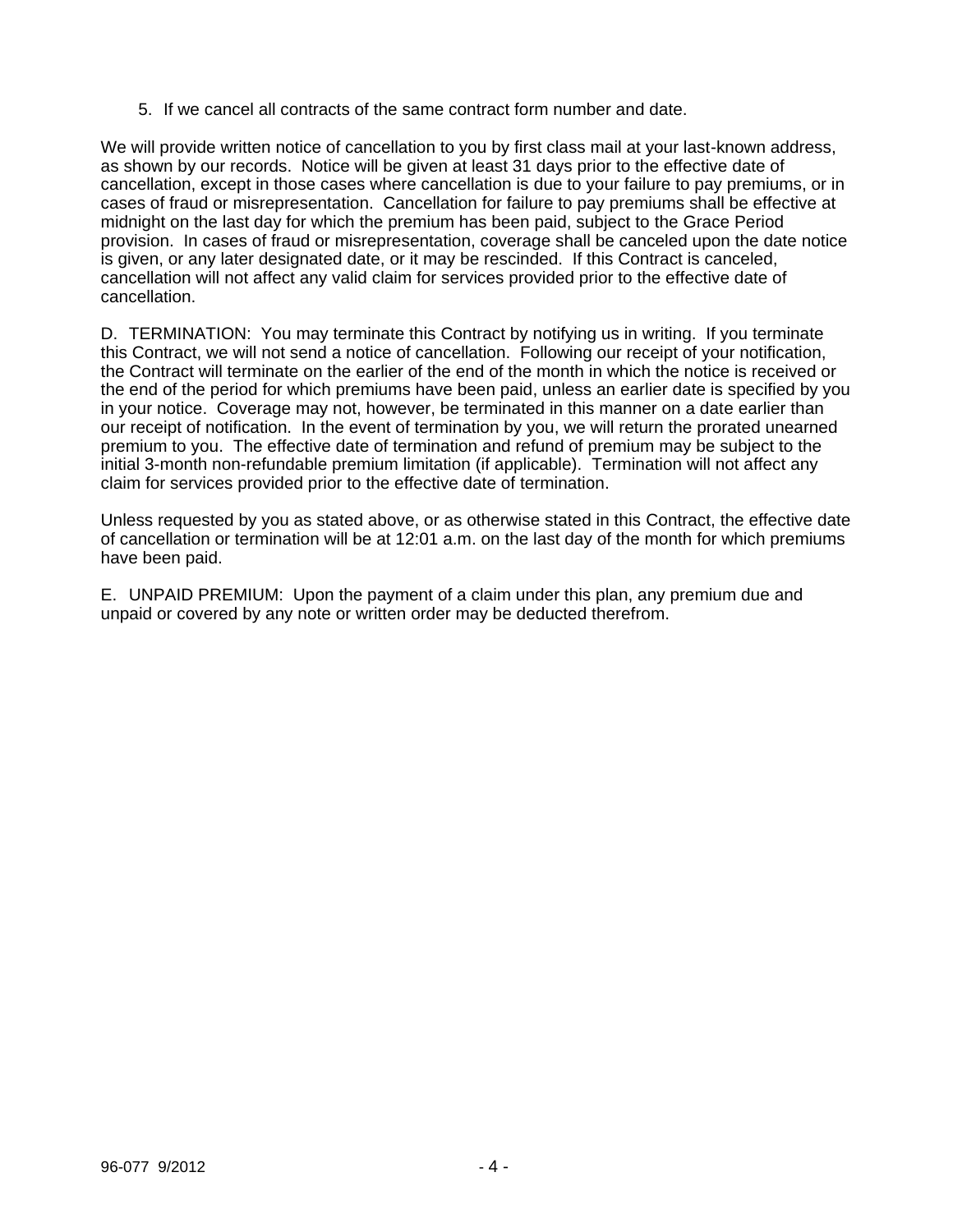5. If we cancel all contracts of the same contract form number and date.

We will provide written notice of cancellation to you by first class mail at your last-known address, as shown by our records. Notice will be given at least 31 days prior to the effective date of cancellation, except in those cases where cancellation is due to your failure to pay premiums, or in cases of fraud or misrepresentation. Cancellation for failure to pay premiums shall be effective at midnight on the last day for which the premium has been paid, subject to the Grace Period provision. In cases of fraud or misrepresentation, coverage shall be canceled upon the date notice is given, or any later designated date, or it may be rescinded. If this Contract is canceled, cancellation will not affect any valid claim for services provided prior to the effective date of cancellation.

D. TERMINATION: You may terminate this Contract by notifying us in writing. If you terminate this Contract, we will not send a notice of cancellation. Following our receipt of your notification, the Contract will terminate on the earlier of the end of the month in which the notice is received or the end of the period for which premiums have been paid, unless an earlier date is specified by you in your notice. Coverage may not, however, be terminated in this manner on a date earlier than our receipt of notification. In the event of termination by you, we will return the prorated unearned premium to you. The effective date of termination and refund of premium may be subject to the initial 3-month non-refundable premium limitation (if applicable). Termination will not affect any claim for services provided prior to the effective date of termination.

Unless requested by you as stated above, or as otherwise stated in this Contract, the effective date of cancellation or termination will be at 12:01 a.m. on the last day of the month for which premiums have been paid.

E. UNPAID PREMIUM: Upon the payment of a claim under this plan, any premium due and unpaid or covered by any note or written order may be deducted therefrom.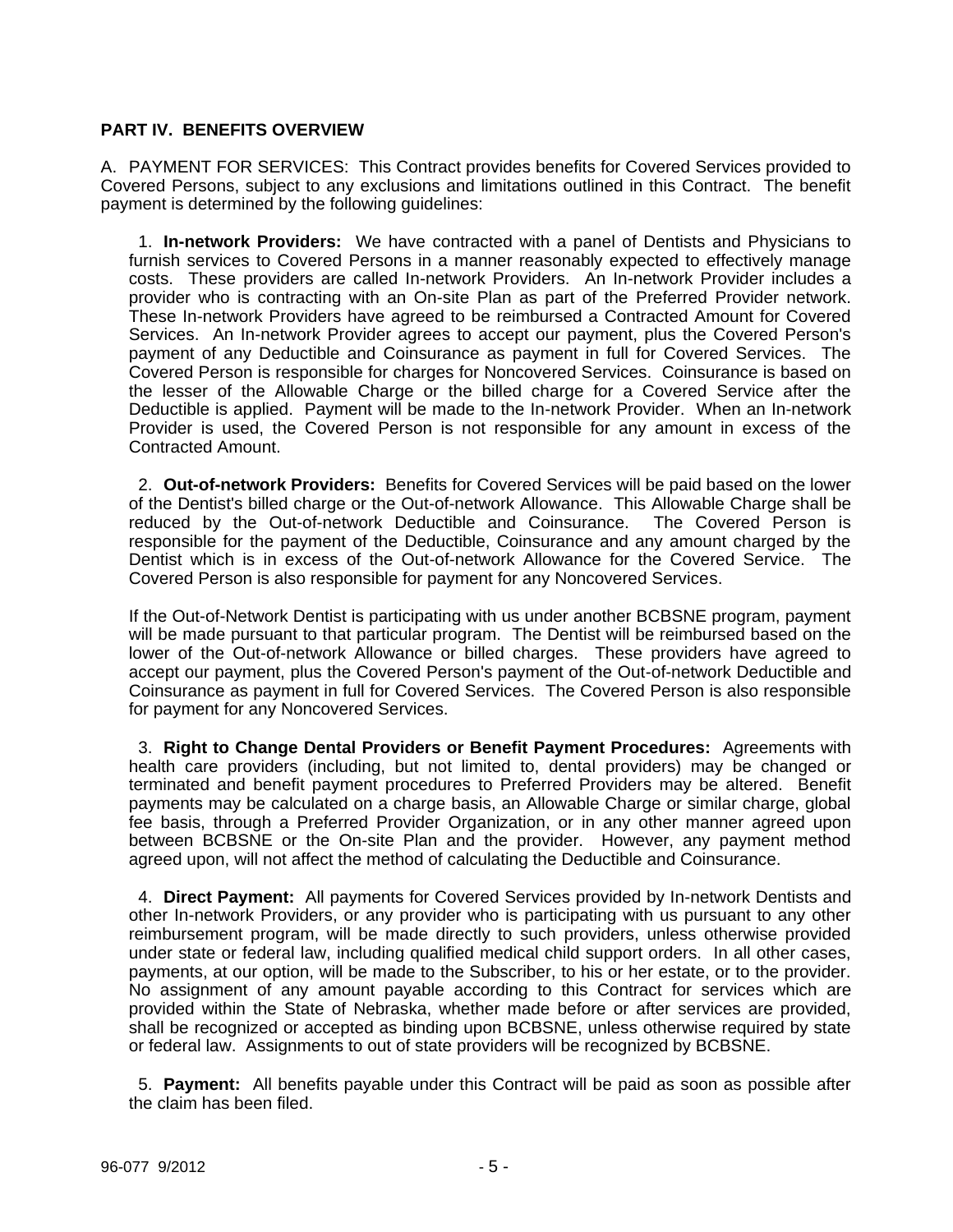## **PART IV. BENEFITS OVERVIEW**

A. PAYMENT FOR SERVICES: This Contract provides benefits for Covered Services provided to Covered Persons, subject to any exclusions and limitations outlined in this Contract. The benefit payment is determined by the following guidelines:

 1. **In-network Providers:** We have contracted with a panel of Dentists and Physicians to furnish services to Covered Persons in a manner reasonably expected to effectively manage costs. These providers are called In-network Providers. An In-network Provider includes a provider who is contracting with an On-site Plan as part of the Preferred Provider network. These In-network Providers have agreed to be reimbursed a Contracted Amount for Covered Services. An In-network Provider agrees to accept our payment, plus the Covered Person's payment of any Deductible and Coinsurance as payment in full for Covered Services. The Covered Person is responsible for charges for Noncovered Services. Coinsurance is based on the lesser of the Allowable Charge or the billed charge for a Covered Service after the Deductible is applied. Payment will be made to the In-network Provider. When an In-network Provider is used, the Covered Person is not responsible for any amount in excess of the Contracted Amount.

 2. **Out-of-network Providers:** Benefits for Covered Services will be paid based on the lower of the Dentist's billed charge or the Out-of-network Allowance. This Allowable Charge shall be reduced by the Out-of-network Deductible and Coinsurance. The Covered Person is responsible for the payment of the Deductible, Coinsurance and any amount charged by the Dentist which is in excess of the Out-of-network Allowance for the Covered Service. The Covered Person is also responsible for payment for any Noncovered Services.

If the Out-of-Network Dentist is participating with us under another BCBSNE program, payment will be made pursuant to that particular program. The Dentist will be reimbursed based on the lower of the Out-of-network Allowance or billed charges. These providers have agreed to accept our payment, plus the Covered Person's payment of the Out-of-network Deductible and Coinsurance as payment in full for Covered Services. The Covered Person is also responsible for payment for any Noncovered Services.

 3. **Right to Change Dental Providers or Benefit Payment Procedures:** Agreements with health care providers (including, but not limited to, dental providers) may be changed or terminated and benefit payment procedures to Preferred Providers may be altered. Benefit payments may be calculated on a charge basis, an Allowable Charge or similar charge, global fee basis, through a Preferred Provider Organization, or in any other manner agreed upon between BCBSNE or the On-site Plan and the provider. However, any payment method agreed upon, will not affect the method of calculating the Deductible and Coinsurance.

 4. **Direct Payment:** All payments for Covered Services provided by In-network Dentists and other In-network Providers, or any provider who is participating with us pursuant to any other reimbursement program, will be made directly to such providers, unless otherwise provided under state or federal law, including qualified medical child support orders. In all other cases, payments, at our option, will be made to the Subscriber, to his or her estate, or to the provider. No assignment of any amount payable according to this Contract for services which are provided within the State of Nebraska, whether made before or after services are provided, shall be recognized or accepted as binding upon BCBSNE, unless otherwise required by state or federal law. Assignments to out of state providers will be recognized by BCBSNE.

 5. **Payment:** All benefits payable under this Contract will be paid as soon as possible after the claim has been filed.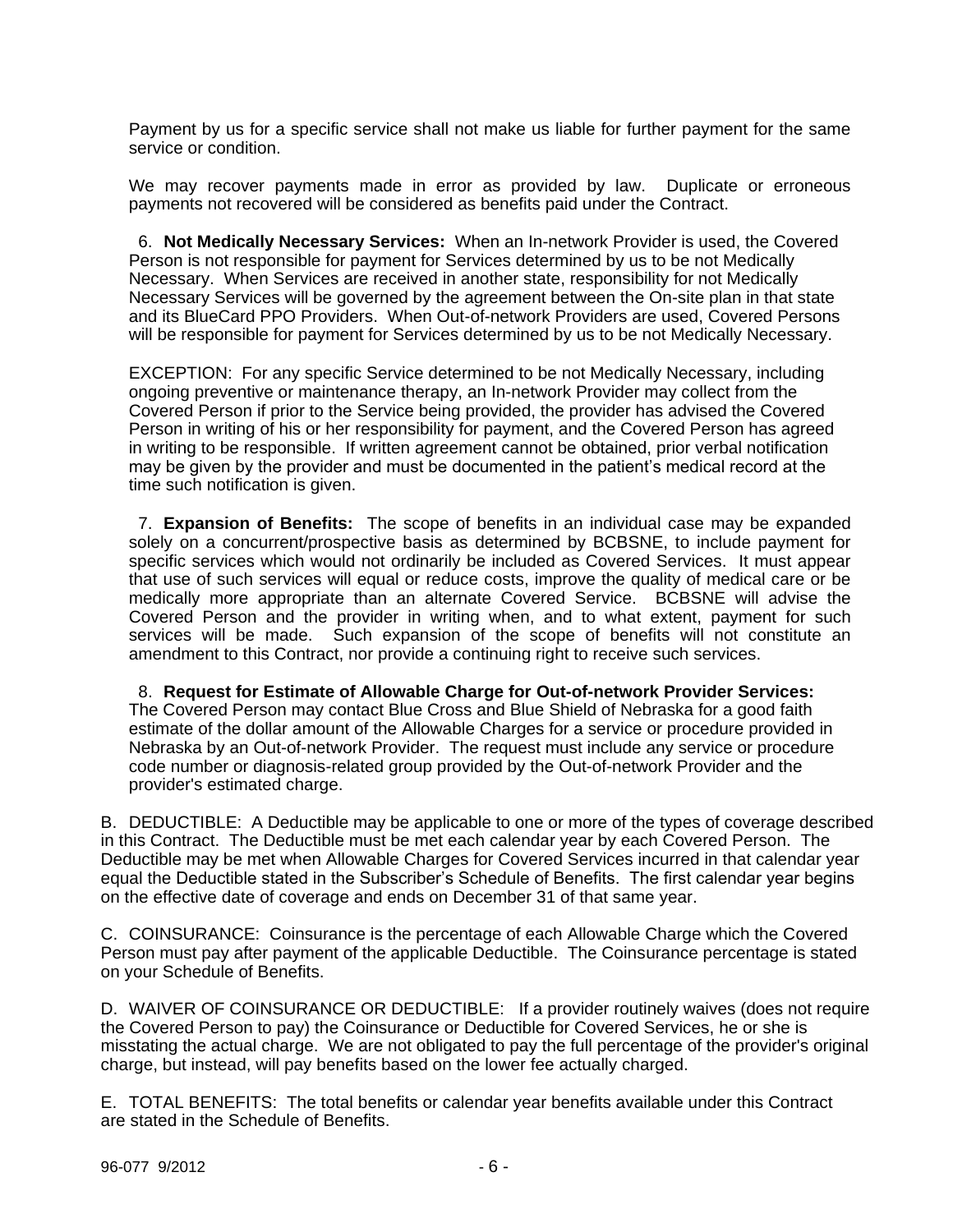Payment by us for a specific service shall not make us liable for further payment for the same service or condition.

We may recover payments made in error as provided by law. Duplicate or erroneous payments not recovered will be considered as benefits paid under the Contract.

 6. **Not Medically Necessary Services:** When an In-network Provider is used, the Covered Person is not responsible for payment for Services determined by us to be not Medically Necessary. When Services are received in another state, responsibility for not Medically Necessary Services will be governed by the agreement between the On-site plan in that state and its BlueCard PPO Providers. When Out-of-network Providers are used, Covered Persons will be responsible for payment for Services determined by us to be not Medically Necessary.

EXCEPTION: For any specific Service determined to be not Medically Necessary, including ongoing preventive or maintenance therapy, an In-network Provider may collect from the Covered Person if prior to the Service being provided, the provider has advised the Covered Person in writing of his or her responsibility for payment, and the Covered Person has agreed in writing to be responsible. If written agreement cannot be obtained, prior verbal notification may be given by the provider and must be documented in the patient's medical record at the time such notification is given.

 7. **Expansion of Benefits:** The scope of benefits in an individual case may be expanded solely on a concurrent/prospective basis as determined by BCBSNE, to include payment for specific services which would not ordinarily be included as Covered Services. It must appear that use of such services will equal or reduce costs, improve the quality of medical care or be medically more appropriate than an alternate Covered Service. BCBSNE will advise the Covered Person and the provider in writing when, and to what extent, payment for such services will be made. Such expansion of the scope of benefits will not constitute an amendment to this Contract, nor provide a continuing right to receive such services.

 8. **Request for Estimate of Allowable Charge for Out-of-network Provider Services:** The Covered Person may contact Blue Cross and Blue Shield of Nebraska for a good faith estimate of the dollar amount of the Allowable Charges for a service or procedure provided in Nebraska by an Out-of-network Provider. The request must include any service or procedure code number or diagnosis-related group provided by the Out-of-network Provider and the provider's estimated charge.

B. DEDUCTIBLE: A Deductible may be applicable to one or more of the types of coverage described in this Contract. The Deductible must be met each calendar year by each Covered Person. The Deductible may be met when Allowable Charges for Covered Services incurred in that calendar year equal the Deductible stated in the Subscriber's Schedule of Benefits. The first calendar year begins on the effective date of coverage and ends on December 31 of that same year.

C. COINSURANCE: Coinsurance is the percentage of each Allowable Charge which the Covered Person must pay after payment of the applicable Deductible. The Coinsurance percentage is stated on your Schedule of Benefits.

D. WAIVER OF COINSURANCE OR DEDUCTIBLE: If a provider routinely waives (does not require the Covered Person to pay) the Coinsurance or Deductible for Covered Services, he or she is misstating the actual charge. We are not obligated to pay the full percentage of the provider's original charge, but instead, will pay benefits based on the lower fee actually charged.

E. TOTAL BENEFITS: The total benefits or calendar year benefits available under this Contract are stated in the Schedule of Benefits.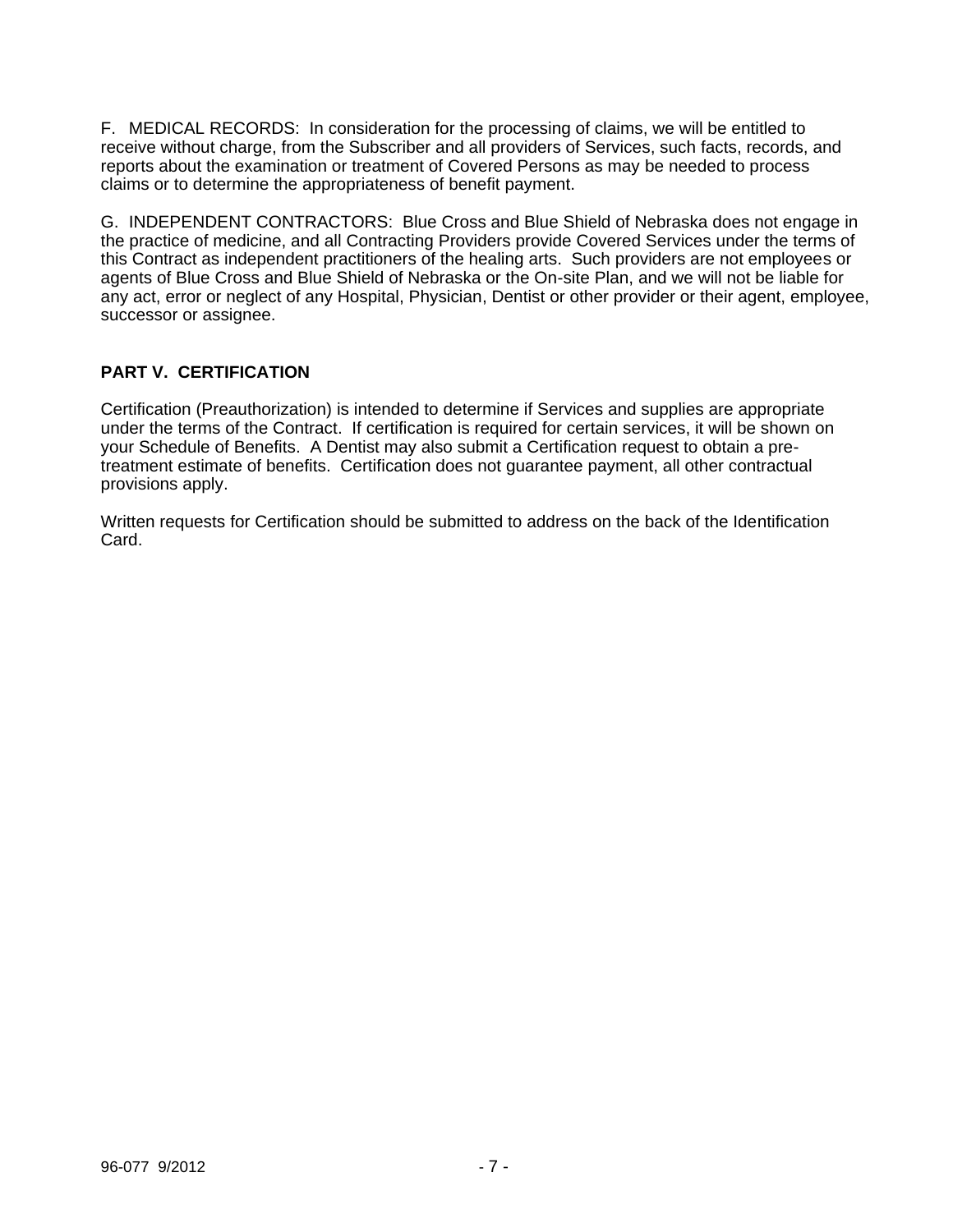F. MEDICAL RECORDS: In consideration for the processing of claims, we will be entitled to receive without charge, from the Subscriber and all providers of Services, such facts, records, and reports about the examination or treatment of Covered Persons as may be needed to process claims or to determine the appropriateness of benefit payment.

G. INDEPENDENT CONTRACTORS: Blue Cross and Blue Shield of Nebraska does not engage in the practice of medicine, and all Contracting Providers provide Covered Services under the terms of this Contract as independent practitioners of the healing arts. Such providers are not employees or agents of Blue Cross and Blue Shield of Nebraska or the On-site Plan, and we will not be liable for any act, error or neglect of any Hospital, Physician, Dentist or other provider or their agent, employee, successor or assignee.

# **PART V. CERTIFICATION**

Certification (Preauthorization) is intended to determine if Services and supplies are appropriate under the terms of the Contract. If certification is required for certain services, it will be shown on your Schedule of Benefits. A Dentist may also submit a Certification request to obtain a pretreatment estimate of benefits. Certification does not guarantee payment, all other contractual provisions apply.

Written requests for Certification should be submitted to address on the back of the Identification Card.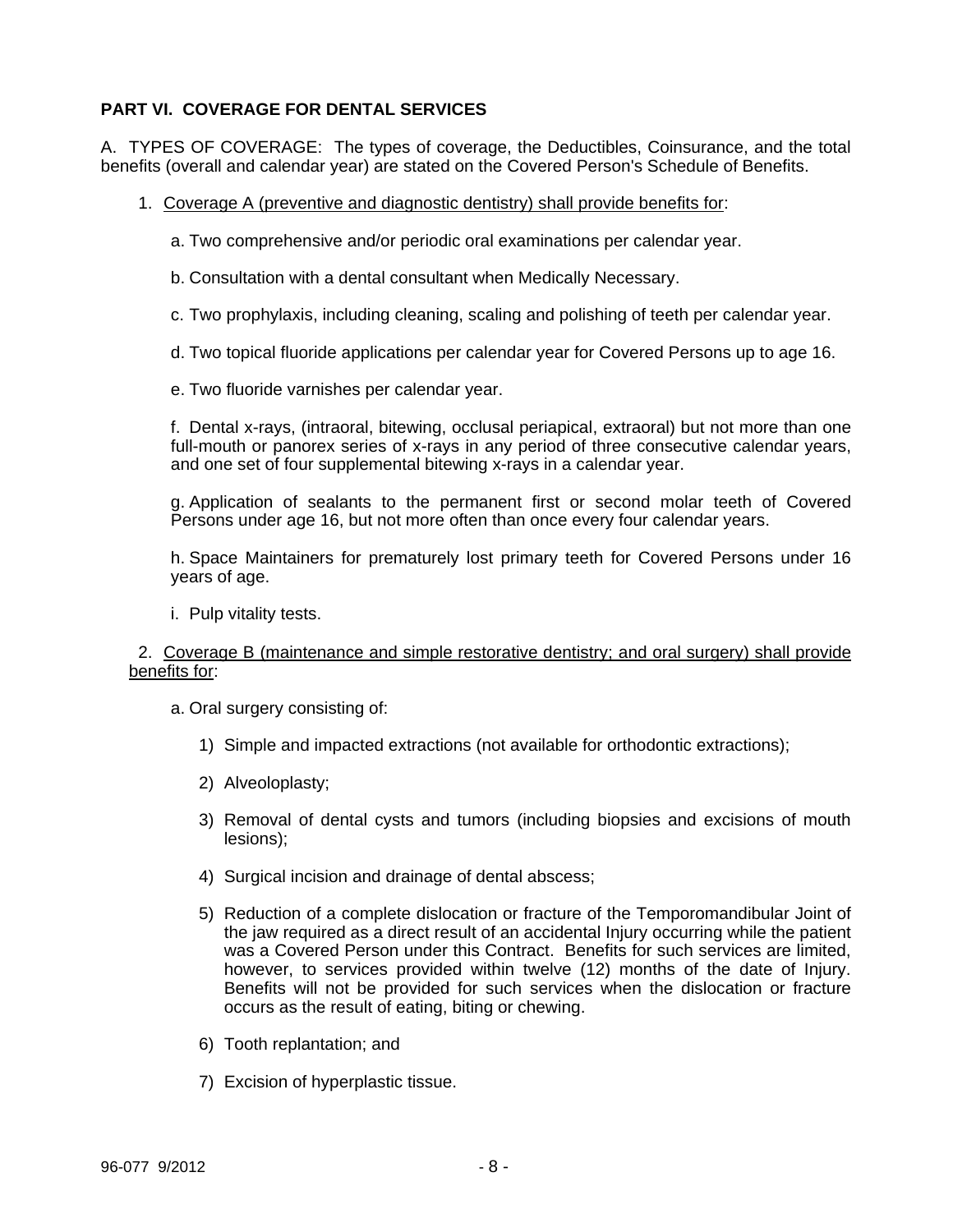# **PART VI. COVERAGE FOR DENTAL SERVICES**

A. TYPES OF COVERAGE: The types of coverage, the Deductibles, Coinsurance, and the total benefits (overall and calendar year) are stated on the Covered Person's Schedule of Benefits.

1. Coverage A (preventive and diagnostic dentistry) shall provide benefits for:

a. Two comprehensive and/or periodic oral examinations per calendar year.

b. Consultation with a dental consultant when Medically Necessary.

c. Two prophylaxis, including cleaning, scaling and polishing of teeth per calendar year.

d. Two topical fluoride applications per calendar year for Covered Persons up to age 16.

e. Two fluoride varnishes per calendar year.

f. Dental x-rays, (intraoral, bitewing, occlusal periapical, extraoral) but not more than one full-mouth or panorex series of x-rays in any period of three consecutive calendar years, and one set of four supplemental bitewing x-rays in a calendar year.

g. Application of sealants to the permanent first or second molar teeth of Covered Persons under age 16, but not more often than once every four calendar years.

h. Space Maintainers for prematurely lost primary teeth for Covered Persons under 16 years of age.

i. Pulp vitality tests.

### 2. Coverage B (maintenance and simple restorative dentistry; and oral surgery) shall provide benefits for:

a. Oral surgery consisting of:

- 1) Simple and impacted extractions (not available for orthodontic extractions);
- 2) Alveoloplasty;
- 3) Removal of dental cysts and tumors (including biopsies and excisions of mouth lesions);
- 4) Surgical incision and drainage of dental abscess;
- 5) Reduction of a complete dislocation or fracture of the Temporomandibular Joint of the jaw required as a direct result of an accidental Injury occurring while the patient was a Covered Person under this Contract. Benefits for such services are limited, however, to services provided within twelve (12) months of the date of Injury. Benefits will not be provided for such services when the dislocation or fracture occurs as the result of eating, biting or chewing.
- 6) Tooth replantation; and
- 7) Excision of hyperplastic tissue.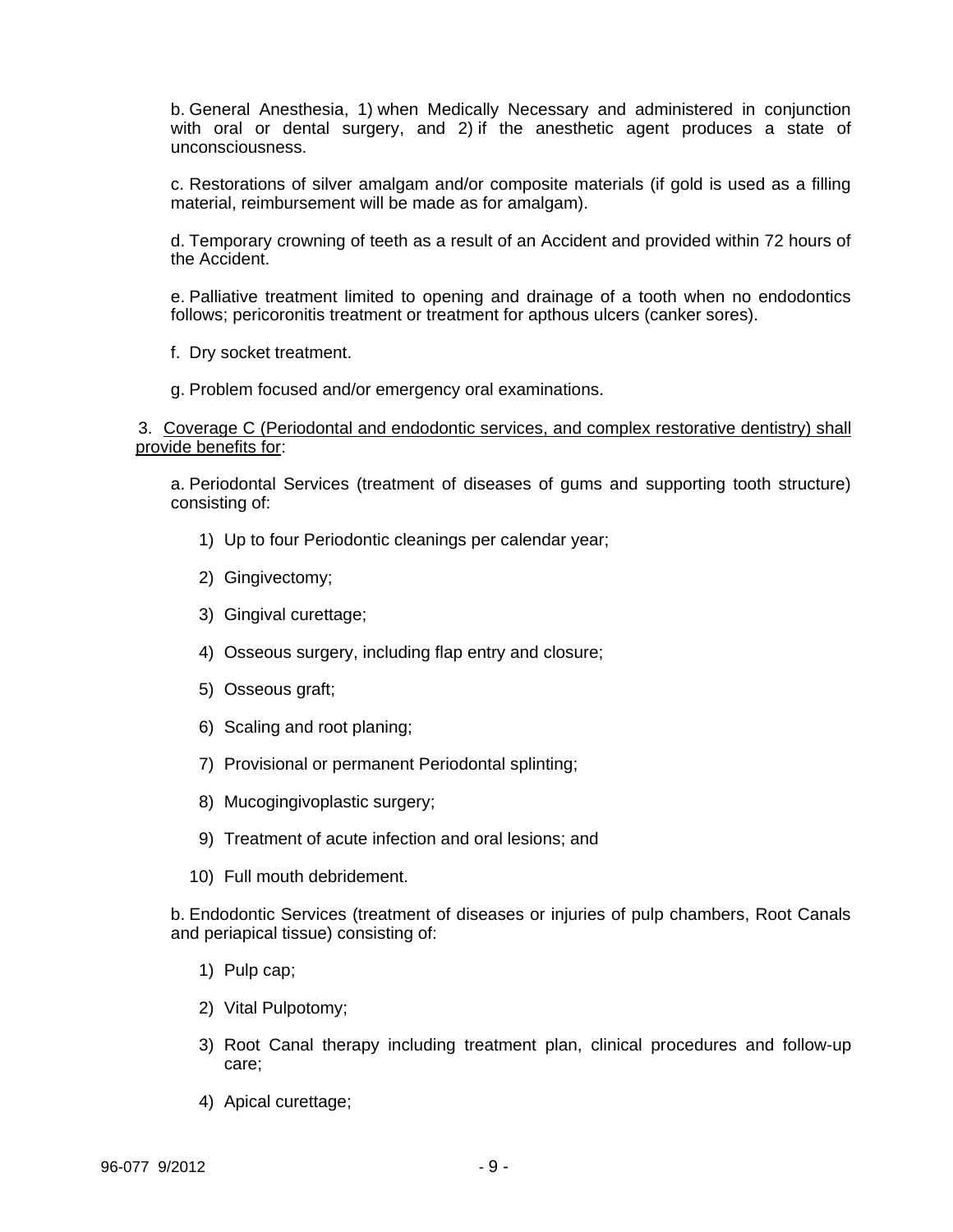b. General Anesthesia, 1) when Medically Necessary and administered in conjunction with oral or dental surgery, and 2) if the anesthetic agent produces a state of unconsciousness.

c. Restorations of silver amalgam and/or composite materials (if gold is used as a filling material, reimbursement will be made as for amalgam).

d. Temporary crowning of teeth as a result of an Accident and provided within 72 hours of the Accident.

e. Palliative treatment limited to opening and drainage of a tooth when no endodontics follows; pericoronitis treatment or treatment for apthous ulcers (canker sores).

f. Dry socket treatment.

g. Problem focused and/or emergency oral examinations.

 3. Coverage C (Periodontal and endodontic services, and complex restorative dentistry) shall provide benefits for:

a. Periodontal Services (treatment of diseases of gums and supporting tooth structure) consisting of:

- 1) Up to four Periodontic cleanings per calendar year;
- 2) Gingivectomy;
- 3) Gingival curettage;
- 4) Osseous surgery, including flap entry and closure;
- 5) Osseous graft;
- 6) Scaling and root planing;
- 7) Provisional or permanent Periodontal splinting;
- 8) Mucogingivoplastic surgery;
- 9) Treatment of acute infection and oral lesions; and
- 10) Full mouth debridement.

b. Endodontic Services (treatment of diseases or injuries of pulp chambers, Root Canals and periapical tissue) consisting of:

- 1) Pulp cap;
- 2) Vital Pulpotomy;
- 3) Root Canal therapy including treatment plan, clinical procedures and follow-up care;
- 4) Apical curettage;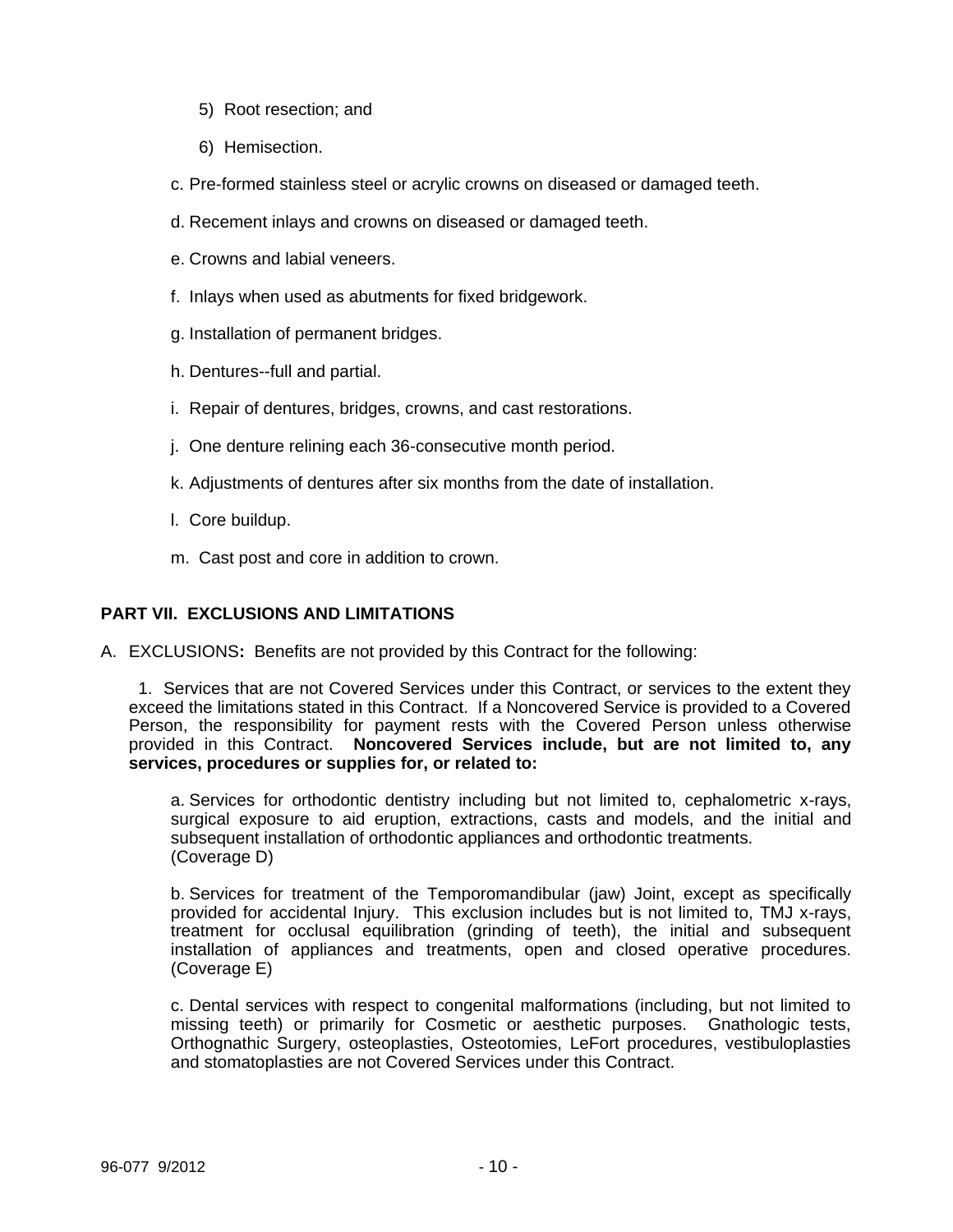- 5) Root resection; and
- 6) Hemisection.
- c. Pre-formed stainless steel or acrylic crowns on diseased or damaged teeth.
- d. Recement inlays and crowns on diseased or damaged teeth.
- e. Crowns and labial veneers.
- f. Inlays when used as abutments for fixed bridgework.
- g. Installation of permanent bridges.
- h. Dentures--full and partial.
- i. Repair of dentures, bridges, crowns, and cast restorations.
- j. One denture relining each 36-consecutive month period.
- k. Adjustments of dentures after six months from the date of installation.
- l. Core buildup.
- m. Cast post and core in addition to crown.

## **PART VII. EXCLUSIONS AND LIMITATIONS**

A. EXCLUSIONS**:** Benefits are not provided by this Contract for the following:

 1. Services that are not Covered Services under this Contract, or services to the extent they exceed the limitations stated in this Contract. If a Noncovered Service is provided to a Covered Person, the responsibility for payment rests with the Covered Person unless otherwise provided in this Contract. **Noncovered Services include, but are not limited to, any services, procedures or supplies for, or related to:**

a. Services for orthodontic dentistry including but not limited to, cephalometric x-rays, surgical exposure to aid eruption, extractions, casts and models, and the initial and subsequent installation of orthodontic appliances and orthodontic treatments. (Coverage D)

b. Services for treatment of the Temporomandibular (jaw) Joint, except as specifically provided for accidental Injury. This exclusion includes but is not limited to, TMJ x-rays, treatment for occlusal equilibration (grinding of teeth), the initial and subsequent installation of appliances and treatments, open and closed operative procedures. (Coverage E)

c. Dental services with respect to congenital malformations (including, but not limited to missing teeth) or primarily for Cosmetic or aesthetic purposes. Gnathologic tests, Orthognathic Surgery, osteoplasties, Osteotomies, LeFort procedures, vestibuloplasties and stomatoplasties are not Covered Services under this Contract.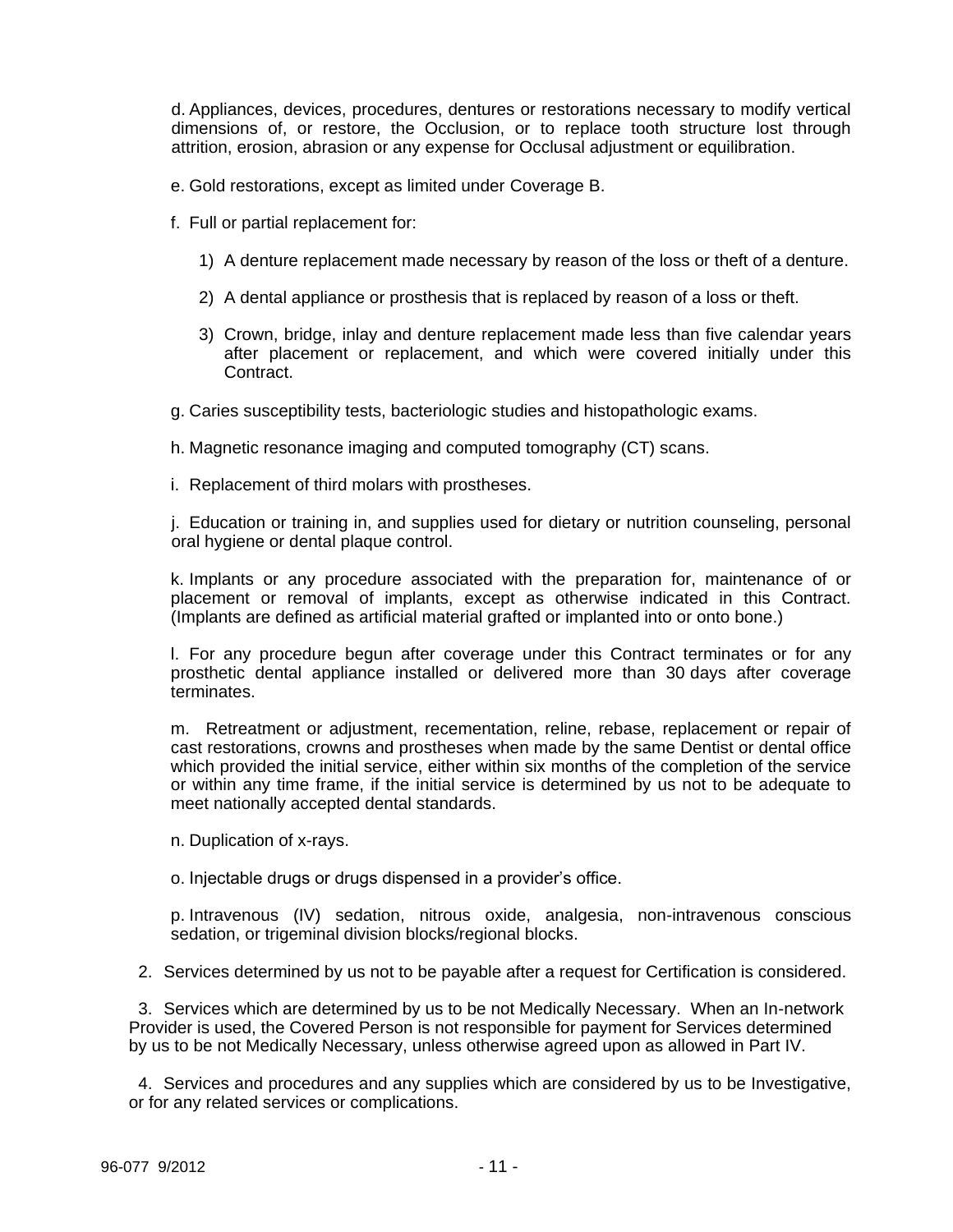d. Appliances, devices, procedures, dentures or restorations necessary to modify vertical dimensions of, or restore, the Occlusion, or to replace tooth structure lost through attrition, erosion, abrasion or any expense for Occlusal adjustment or equilibration.

- e. Gold restorations, except as limited under Coverage B.
- f. Full or partial replacement for:
	- 1) A denture replacement made necessary by reason of the loss or theft of a denture.
	- 2) A dental appliance or prosthesis that is replaced by reason of a loss or theft.
	- 3) Crown, bridge, inlay and denture replacement made less than five calendar years after placement or replacement, and which were covered initially under this Contract.
- g. Caries susceptibility tests, bacteriologic studies and histopathologic exams.

h. Magnetic resonance imaging and computed tomography (CT) scans.

i. Replacement of third molars with prostheses.

j. Education or training in, and supplies used for dietary or nutrition counseling, personal oral hygiene or dental plaque control.

k. Implants or any procedure associated with the preparation for, maintenance of or placement or removal of implants, except as otherwise indicated in this Contract. (Implants are defined as artificial material grafted or implanted into or onto bone.)

l. For any procedure begun after coverage under this Contract terminates or for any prosthetic dental appliance installed or delivered more than 30 days after coverage terminates.

m. Retreatment or adjustment, recementation, reline, rebase, replacement or repair of cast restorations, crowns and prostheses when made by the same Dentist or dental office which provided the initial service, either within six months of the completion of the service or within any time frame, if the initial service is determined by us not to be adequate to meet nationally accepted dental standards.

n. Duplication of x-rays.

o. Injectable drugs or drugs dispensed in a provider's office.

p. Intravenous (IV) sedation, nitrous oxide, analgesia, non-intravenous conscious sedation, or trigeminal division blocks/regional blocks.

2. Services determined by us not to be payable after a request for Certification is considered.

3. Services which are determined by us to be not Medically Necessary. When an In-network Provider is used, the Covered Person is not responsible for payment for Services determined by us to be not Medically Necessary, unless otherwise agreed upon as allowed in Part IV.

 4. Services and procedures and any supplies which are considered by us to be Investigative, or for any related services or complications.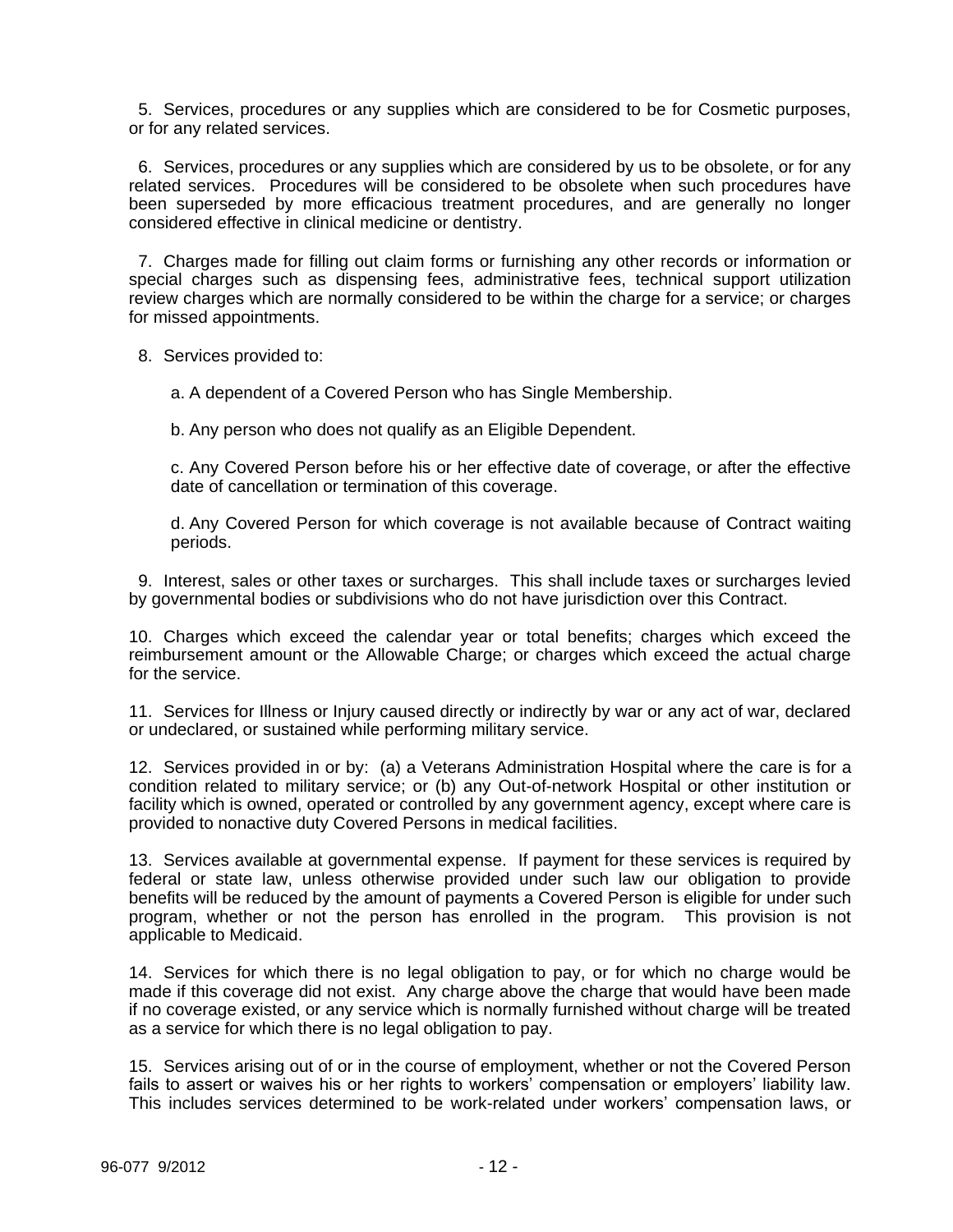5. Services, procedures or any supplies which are considered to be for Cosmetic purposes, or for any related services.

 6. Services, procedures or any supplies which are considered by us to be obsolete, or for any related services. Procedures will be considered to be obsolete when such procedures have been superseded by more efficacious treatment procedures, and are generally no longer considered effective in clinical medicine or dentistry.

 7. Charges made for filling out claim forms or furnishing any other records or information or special charges such as dispensing fees, administrative fees, technical support utilization review charges which are normally considered to be within the charge for a service; or charges for missed appointments.

8. Services provided to:

a. A dependent of a Covered Person who has Single Membership.

b. Any person who does not qualify as an Eligible Dependent.

c. Any Covered Person before his or her effective date of coverage, or after the effective date of cancellation or termination of this coverage.

d. Any Covered Person for which coverage is not available because of Contract waiting periods.

 9. Interest, sales or other taxes or surcharges. This shall include taxes or surcharges levied by governmental bodies or subdivisions who do not have jurisdiction over this Contract.

10. Charges which exceed the calendar year or total benefits; charges which exceed the reimbursement amount or the Allowable Charge; or charges which exceed the actual charge for the service.

11. Services for Illness or Injury caused directly or indirectly by war or any act of war, declared or undeclared, or sustained while performing military service.

12. Services provided in or by: (a) a Veterans Administration Hospital where the care is for a condition related to military service; or (b) any Out-of-network Hospital or other institution or facility which is owned, operated or controlled by any government agency, except where care is provided to nonactive duty Covered Persons in medical facilities.

13. Services available at governmental expense. If payment for these services is required by federal or state law, unless otherwise provided under such law our obligation to provide benefits will be reduced by the amount of payments a Covered Person is eligible for under such program, whether or not the person has enrolled in the program. This provision is not applicable to Medicaid.

14. Services for which there is no legal obligation to pay, or for which no charge would be made if this coverage did not exist. Any charge above the charge that would have been made if no coverage existed, or any service which is normally furnished without charge will be treated as a service for which there is no legal obligation to pay.

15. Services arising out of or in the course of employment, whether or not the Covered Person fails to assert or waives his or her rights to workers' compensation or employers' liability law. This includes services determined to be work-related under workers' compensation laws, or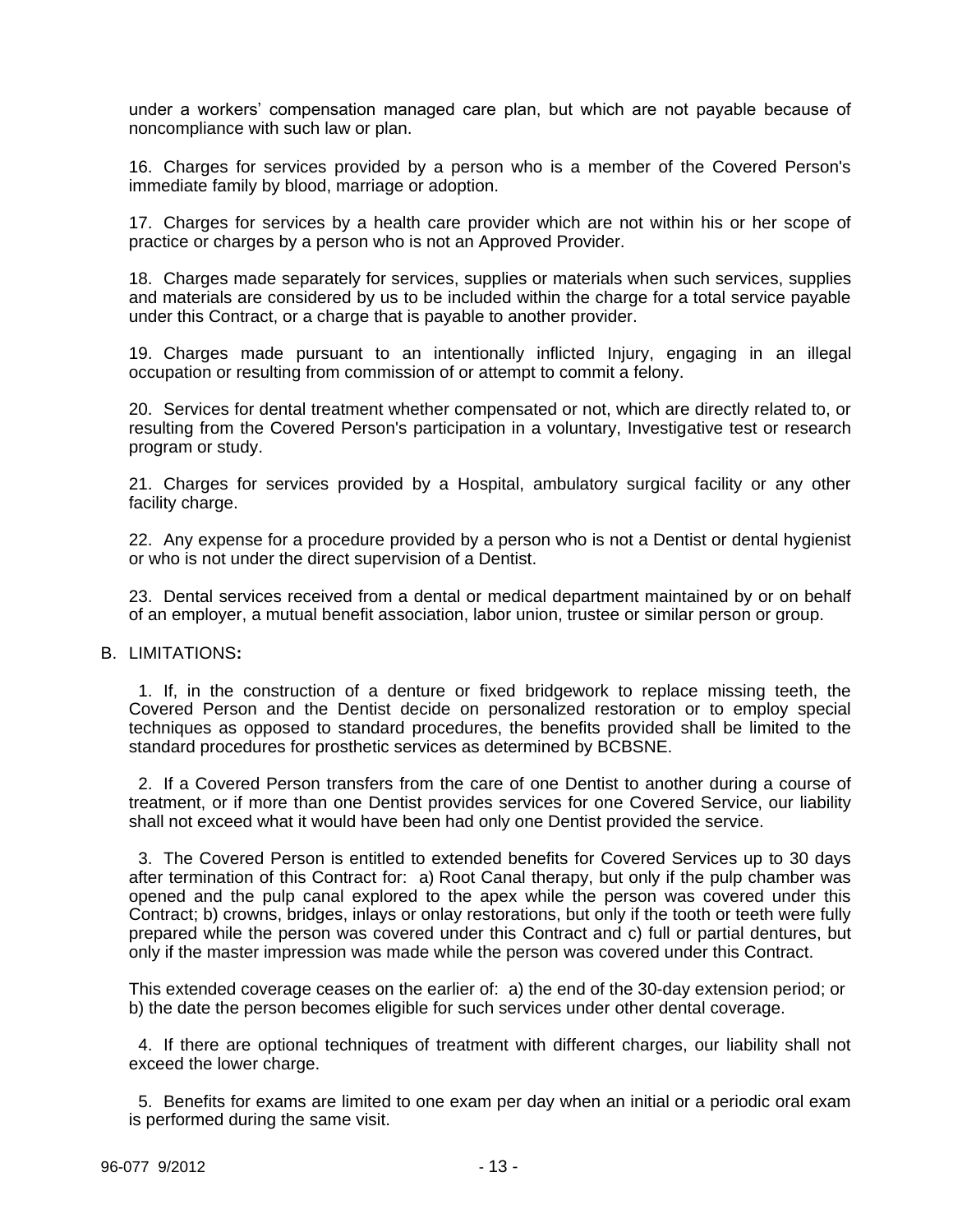under a workers' compensation managed care plan, but which are not payable because of noncompliance with such law or plan.

16. Charges for services provided by a person who is a member of the Covered Person's immediate family by blood, marriage or adoption.

17. Charges for services by a health care provider which are not within his or her scope of practice or charges by a person who is not an Approved Provider.

18. Charges made separately for services, supplies or materials when such services, supplies and materials are considered by us to be included within the charge for a total service payable under this Contract, or a charge that is payable to another provider.

19. Charges made pursuant to an intentionally inflicted Injury, engaging in an illegal occupation or resulting from commission of or attempt to commit a felony.

20. Services for dental treatment whether compensated or not, which are directly related to, or resulting from the Covered Person's participation in a voluntary, Investigative test or research program or study.

21. Charges for services provided by a Hospital, ambulatory surgical facility or any other facility charge.

22. Any expense for a procedure provided by a person who is not a Dentist or dental hygienist or who is not under the direct supervision of a Dentist.

23. Dental services received from a dental or medical department maintained by or on behalf of an employer, a mutual benefit association, labor union, trustee or similar person or group.

#### B. LIMITATIONS**:**

 1. If, in the construction of a denture or fixed bridgework to replace missing teeth, the Covered Person and the Dentist decide on personalized restoration or to employ special techniques as opposed to standard procedures, the benefits provided shall be limited to the standard procedures for prosthetic services as determined by BCBSNE.

 2. If a Covered Person transfers from the care of one Dentist to another during a course of treatment, or if more than one Dentist provides services for one Covered Service, our liability shall not exceed what it would have been had only one Dentist provided the service.

 3. The Covered Person is entitled to extended benefits for Covered Services up to 30 days after termination of this Contract for: a) Root Canal therapy, but only if the pulp chamber was opened and the pulp canal explored to the apex while the person was covered under this Contract; b) crowns, bridges, inlays or onlay restorations, but only if the tooth or teeth were fully prepared while the person was covered under this Contract and c) full or partial dentures, but only if the master impression was made while the person was covered under this Contract.

This extended coverage ceases on the earlier of: a) the end of the 30-day extension period; or b) the date the person becomes eligible for such services under other dental coverage.

 4. If there are optional techniques of treatment with different charges, our liability shall not exceed the lower charge.

 5. Benefits for exams are limited to one exam per day when an initial or a periodic oral exam is performed during the same visit.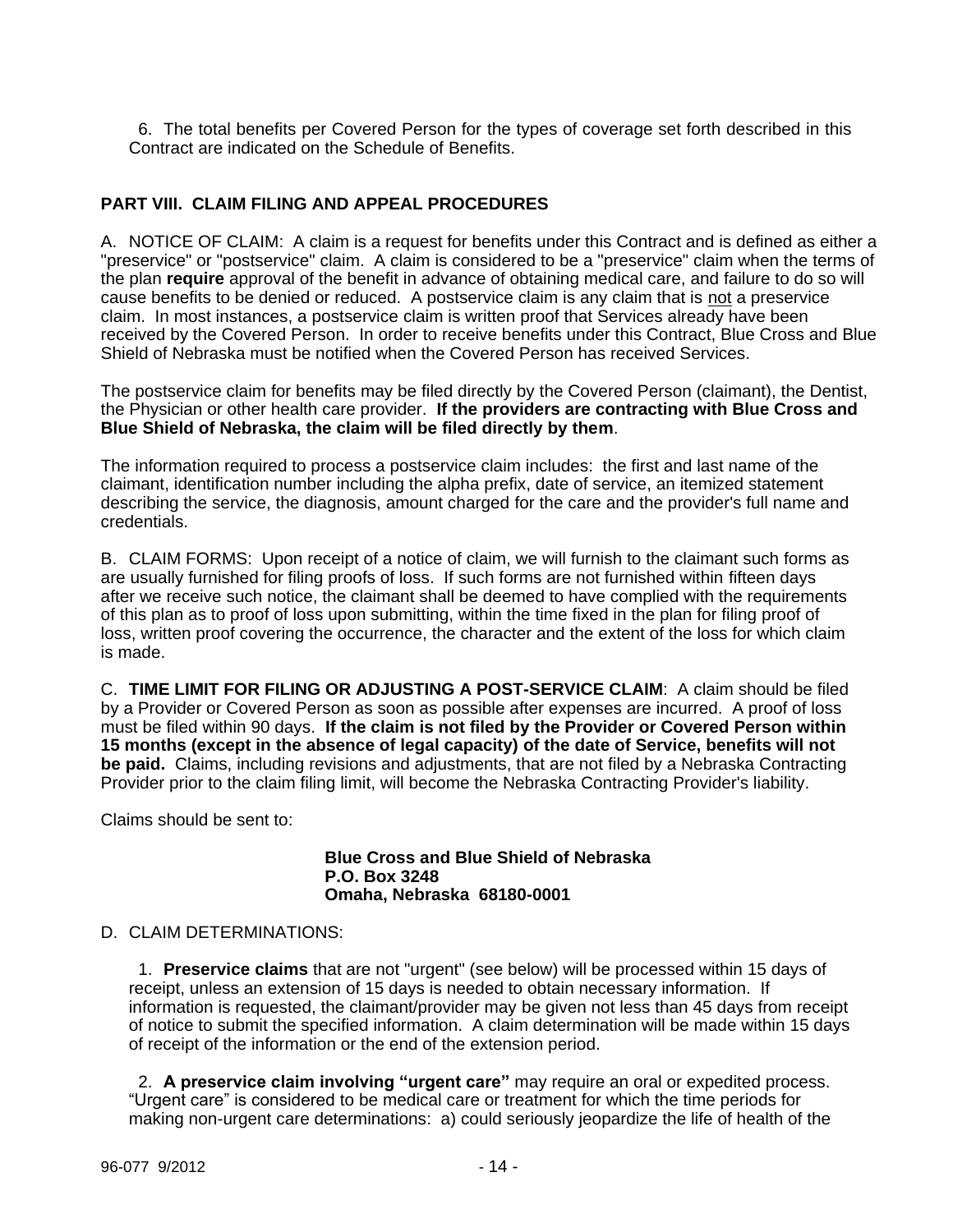6. The total benefits per Covered Person for the types of coverage set forth described in this Contract are indicated on the Schedule of Benefits.

# **PART VIII. CLAIM FILING AND APPEAL PROCEDURES**

A. NOTICE OF CLAIM: A claim is a request for benefits under this Contract and is defined as either a "preservice" or "postservice" claim. A claim is considered to be a "preservice" claim when the terms of the plan **require** approval of the benefit in advance of obtaining medical care, and failure to do so will cause benefits to be denied or reduced. A postservice claim is any claim that is not a preservice claim. In most instances, a postservice claim is written proof that Services already have been received by the Covered Person. In order to receive benefits under this Contract, Blue Cross and Blue Shield of Nebraska must be notified when the Covered Person has received Services.

The postservice claim for benefits may be filed directly by the Covered Person (claimant), the Dentist, the Physician or other health care provider. **If the providers are contracting with Blue Cross and Blue Shield of Nebraska, the claim will be filed directly by them**.

The information required to process a postservice claim includes: the first and last name of the claimant, identification number including the alpha prefix, date of service, an itemized statement describing the service, the diagnosis, amount charged for the care and the provider's full name and credentials.

B. CLAIM FORMS: Upon receipt of a notice of claim, we will furnish to the claimant such forms as are usually furnished for filing proofs of loss. If such forms are not furnished within fifteen days after we receive such notice, the claimant shall be deemed to have complied with the requirements of this plan as to proof of loss upon submitting, within the time fixed in the plan for filing proof of loss, written proof covering the occurrence, the character and the extent of the loss for which claim is made.

C. **TIME LIMIT FOR FILING OR ADJUSTING A POST-SERVICE CLAIM**: A claim should be filed by a Provider or Covered Person as soon as possible after expenses are incurred. A proof of loss must be filed within 90 days. **If the claim is not filed by the Provider or Covered Person within 15 months (except in the absence of legal capacity) of the date of Service, benefits will not be paid.** Claims, including revisions and adjustments, that are not filed by a Nebraska Contracting Provider prior to the claim filing limit, will become the Nebraska Contracting Provider's liability.

Claims should be sent to:

**Blue Cross and Blue Shield of Nebraska P.O. Box 3248 Omaha, Nebraska 68180-0001**

### D. CLAIM DETERMINATIONS:

 1. **Preservice claims** that are not "urgent" (see below) will be processed within 15 days of receipt, unless an extension of 15 days is needed to obtain necessary information. If information is requested, the claimant/provider may be given not less than 45 days from receipt of notice to submit the specified information. A claim determination will be made within 15 days of receipt of the information or the end of the extension period.

 2. **A preservice claim involving "urgent care"** may require an oral or expedited process. "Urgent care" is considered to be medical care or treatment for which the time periods for making non-urgent care determinations: a) could seriously jeopardize the life of health of the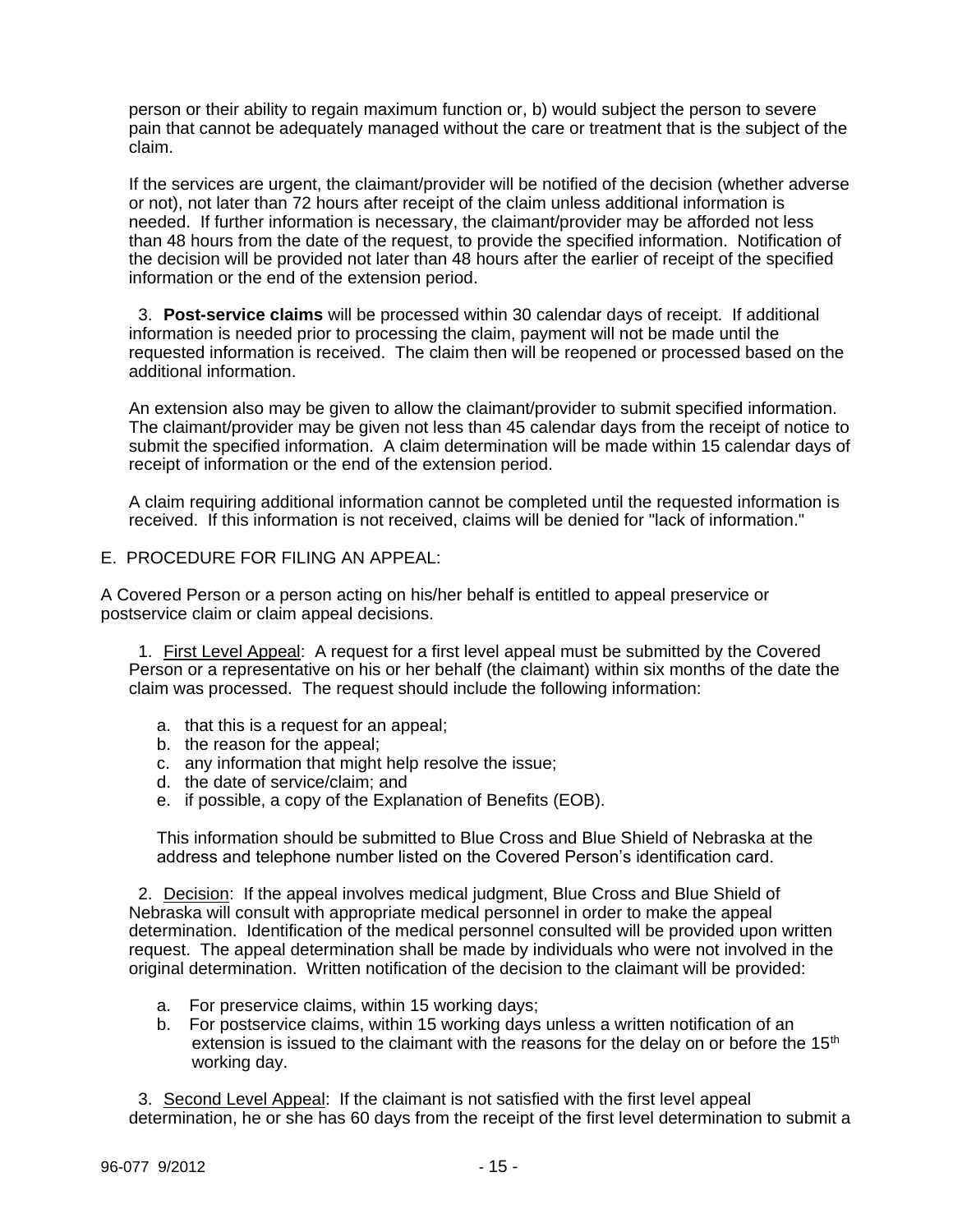person or their ability to regain maximum function or, b) would subject the person to severe pain that cannot be adequately managed without the care or treatment that is the subject of the claim.

If the services are urgent, the claimant/provider will be notified of the decision (whether adverse or not), not later than 72 hours after receipt of the claim unless additional information is needed. If further information is necessary, the claimant/provider may be afforded not less than 48 hours from the date of the request, to provide the specified information. Notification of the decision will be provided not later than 48 hours after the earlier of receipt of the specified information or the end of the extension period.

 3. **Post-service claims** will be processed within 30 calendar days of receipt. If additional information is needed prior to processing the claim, payment will not be made until the requested information is received. The claim then will be reopened or processed based on the additional information.

An extension also may be given to allow the claimant/provider to submit specified information. The claimant/provider may be given not less than 45 calendar days from the receipt of notice to submit the specified information. A claim determination will be made within 15 calendar days of receipt of information or the end of the extension period.

A claim requiring additional information cannot be completed until the requested information is received. If this information is not received, claims will be denied for "lack of information."

## E. PROCEDURE FOR FILING AN APPEAL:

A Covered Person or a person acting on his/her behalf is entitled to appeal preservice or postservice claim or claim appeal decisions.

 1. First Level Appeal: A request for a first level appeal must be submitted by the Covered Person or a representative on his or her behalf (the claimant) within six months of the date the claim was processed. The request should include the following information:

- a. that this is a request for an appeal;
- b. the reason for the appeal;
- c. any information that might help resolve the issue;
- d. the date of service/claim; and
- e. if possible, a copy of the Explanation of Benefits (EOB).

This information should be submitted to Blue Cross and Blue Shield of Nebraska at the address and telephone number listed on the Covered Person's identification card.

 2. Decision: If the appeal involves medical judgment, Blue Cross and Blue Shield of Nebraska will consult with appropriate medical personnel in order to make the appeal determination. Identification of the medical personnel consulted will be provided upon written request. The appeal determination shall be made by individuals who were not involved in the original determination. Written notification of the decision to the claimant will be provided:

- a. For preservice claims, within 15 working days;
- b. For postservice claims, within 15 working days unless a written notification of an extension is issued to the claimant with the reasons for the delay on or before the  $15<sup>th</sup>$ working day.

 3. Second Level Appeal: If the claimant is not satisfied with the first level appeal determination, he or she has 60 days from the receipt of the first level determination to submit a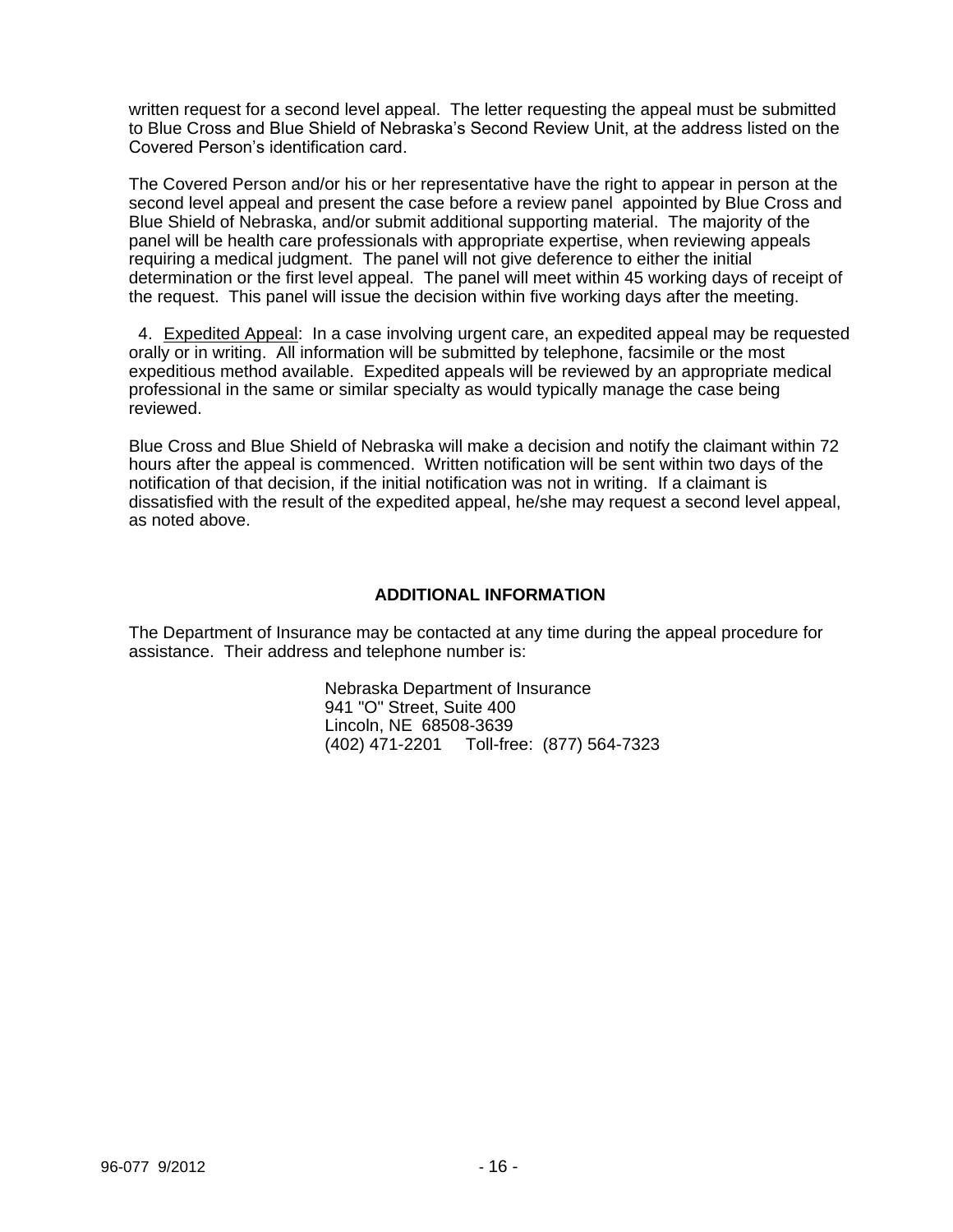written request for a second level appeal. The letter requesting the appeal must be submitted to Blue Cross and Blue Shield of Nebraska's Second Review Unit, at the address listed on the Covered Person's identification card.

The Covered Person and/or his or her representative have the right to appear in person at the second level appeal and present the case before a review panel appointed by Blue Cross and Blue Shield of Nebraska, and/or submit additional supporting material. The majority of the panel will be health care professionals with appropriate expertise, when reviewing appeals requiring a medical judgment. The panel will not give deference to either the initial determination or the first level appeal. The panel will meet within 45 working days of receipt of the request. This panel will issue the decision within five working days after the meeting.

4. Expedited Appeal: In a case involving urgent care, an expedited appeal may be requested orally or in writing. All information will be submitted by telephone, facsimile or the most expeditious method available. Expedited appeals will be reviewed by an appropriate medical professional in the same or similar specialty as would typically manage the case being reviewed.

Blue Cross and Blue Shield of Nebraska will make a decision and notify the claimant within 72 hours after the appeal is commenced. Written notification will be sent within two days of the notification of that decision, if the initial notification was not in writing. If a claimant is dissatisfied with the result of the expedited appeal, he/she may request a second level appeal, as noted above.

## **ADDITIONAL INFORMATION**

The Department of Insurance may be contacted at any time during the appeal procedure for assistance. Their address and telephone number is:

> Nebraska Department of Insurance 941 "O" Street, Suite 400 Lincoln, NE 68508-3639 (402) 471-2201 Toll-free: (877) 564-7323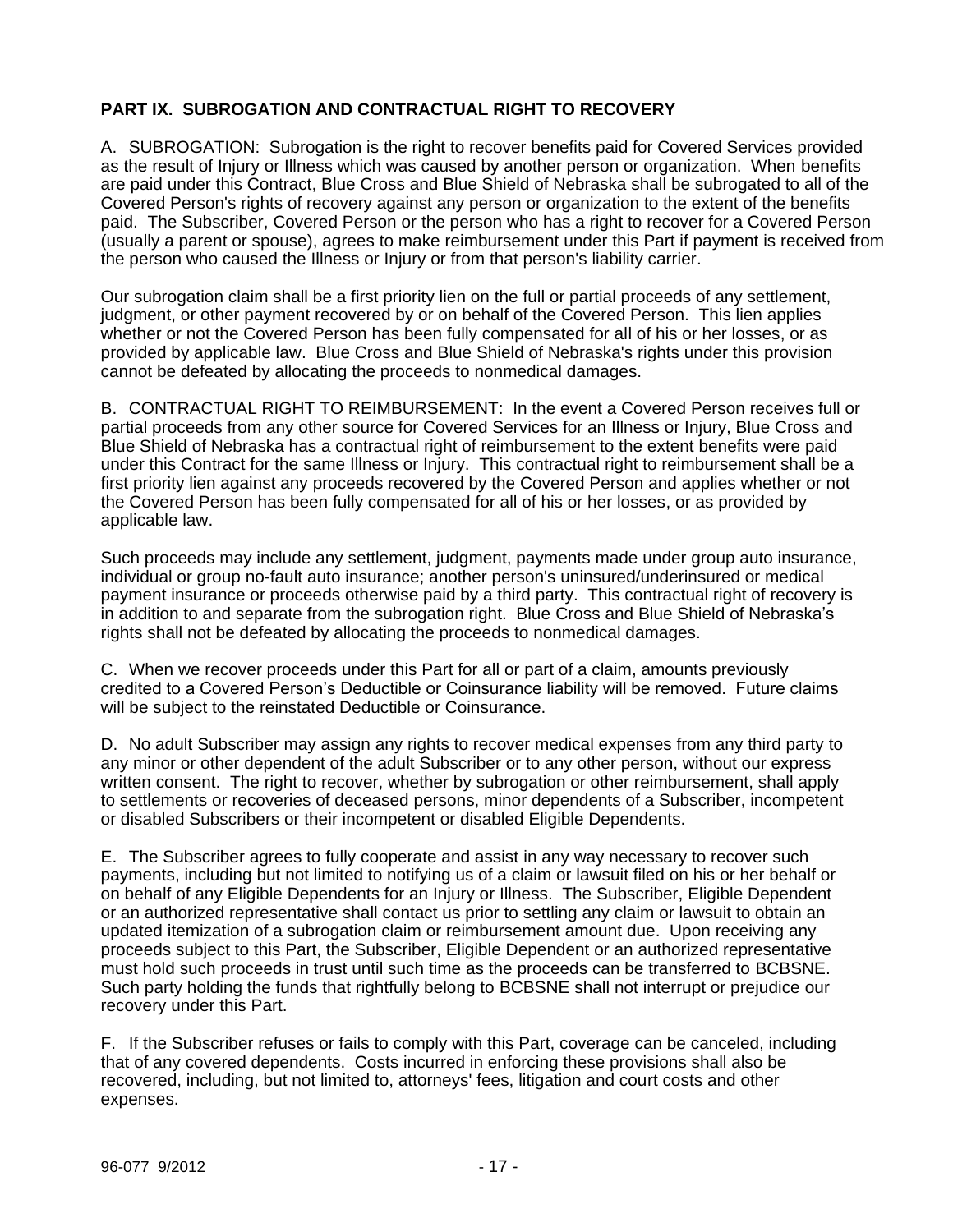# **PART IX. SUBROGATION AND CONTRACTUAL RIGHT TO RECOVERY**

A. SUBROGATION: Subrogation is the right to recover benefits paid for Covered Services provided as the result of Injury or Illness which was caused by another person or organization. When benefits are paid under this Contract, Blue Cross and Blue Shield of Nebraska shall be subrogated to all of the Covered Person's rights of recovery against any person or organization to the extent of the benefits paid. The Subscriber, Covered Person or the person who has a right to recover for a Covered Person (usually a parent or spouse), agrees to make reimbursement under this Part if payment is received from the person who caused the Illness or Injury or from that person's liability carrier.

Our subrogation claim shall be a first priority lien on the full or partial proceeds of any settlement, judgment, or other payment recovered by or on behalf of the Covered Person. This lien applies whether or not the Covered Person has been fully compensated for all of his or her losses, or as provided by applicable law. Blue Cross and Blue Shield of Nebraska's rights under this provision cannot be defeated by allocating the proceeds to nonmedical damages.

B. CONTRACTUAL RIGHT TO REIMBURSEMENT: In the event a Covered Person receives full or partial proceeds from any other source for Covered Services for an Illness or Injury, Blue Cross and Blue Shield of Nebraska has a contractual right of reimbursement to the extent benefits were paid under this Contract for the same Illness or Injury. This contractual right to reimbursement shall be a first priority lien against any proceeds recovered by the Covered Person and applies whether or not the Covered Person has been fully compensated for all of his or her losses, or as provided by applicable law.

Such proceeds may include any settlement, judgment, payments made under group auto insurance, individual or group no-fault auto insurance; another person's uninsured/underinsured or medical payment insurance or proceeds otherwise paid by a third party. This contractual right of recovery is in addition to and separate from the subrogation right. Blue Cross and Blue Shield of Nebraska's rights shall not be defeated by allocating the proceeds to nonmedical damages.

C. When we recover proceeds under this Part for all or part of a claim, amounts previously credited to a Covered Person's Deductible or Coinsurance liability will be removed. Future claims will be subject to the reinstated Deductible or Coinsurance.

D. No adult Subscriber may assign any rights to recover medical expenses from any third party to any minor or other dependent of the adult Subscriber or to any other person, without our express written consent. The right to recover, whether by subrogation or other reimbursement, shall apply to settlements or recoveries of deceased persons, minor dependents of a Subscriber, incompetent or disabled Subscribers or their incompetent or disabled Eligible Dependents.

E. The Subscriber agrees to fully cooperate and assist in any way necessary to recover such payments, including but not limited to notifying us of a claim or lawsuit filed on his or her behalf or on behalf of any Eligible Dependents for an Injury or Illness. The Subscriber, Eligible Dependent or an authorized representative shall contact us prior to settling any claim or lawsuit to obtain an updated itemization of a subrogation claim or reimbursement amount due. Upon receiving any proceeds subject to this Part, the Subscriber, Eligible Dependent or an authorized representative must hold such proceeds in trust until such time as the proceeds can be transferred to BCBSNE. Such party holding the funds that rightfully belong to BCBSNE shall not interrupt or prejudice our recovery under this Part.

F. If the Subscriber refuses or fails to comply with this Part, coverage can be canceled, including that of any covered dependents. Costs incurred in enforcing these provisions shall also be recovered, including, but not limited to, attorneys' fees, litigation and court costs and other expenses.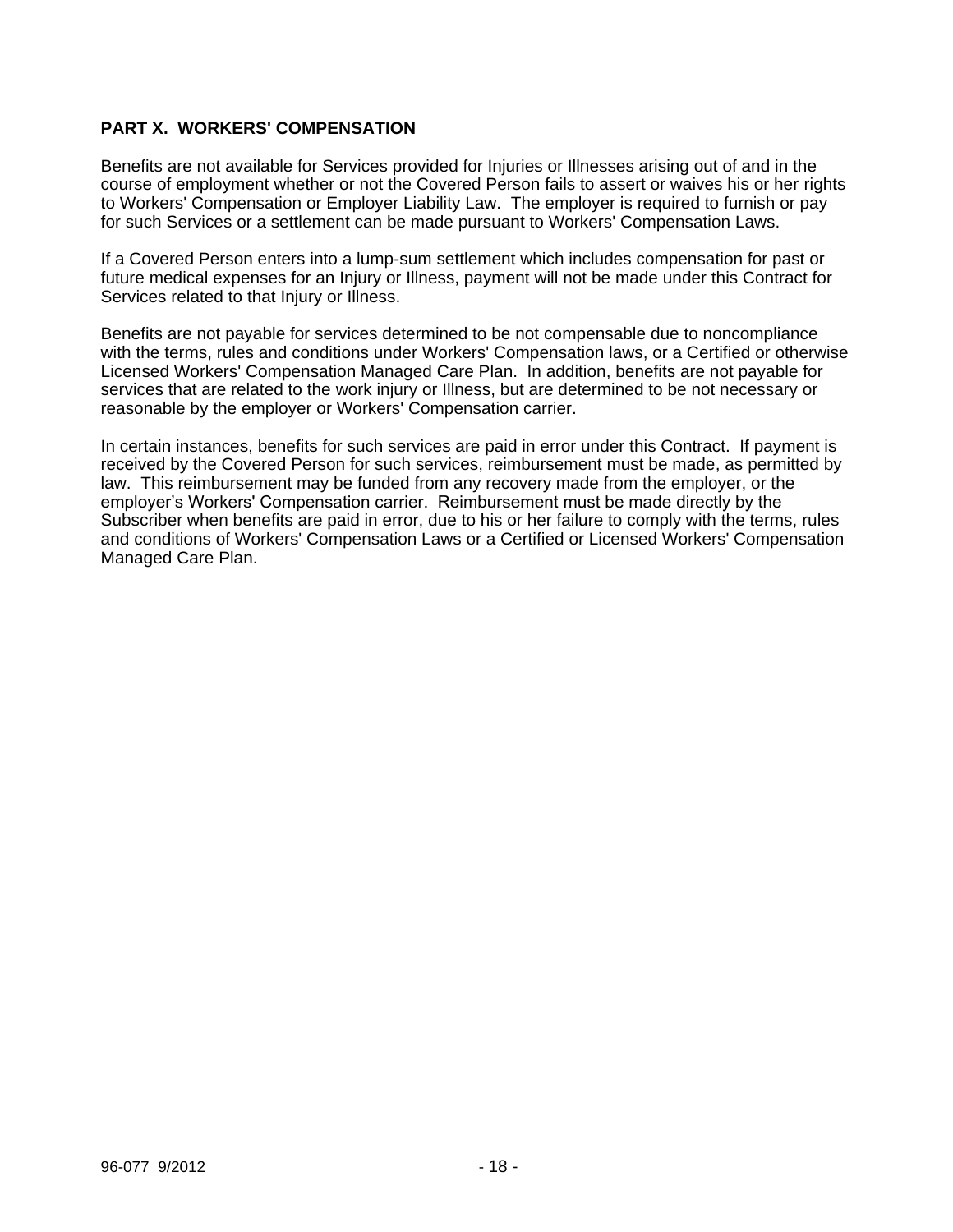# **PART X. WORKERS' COMPENSATION**

Benefits are not available for Services provided for Injuries or Illnesses arising out of and in the course of employment whether or not the Covered Person fails to assert or waives his or her rights to Workers' Compensation or Employer Liability Law. The employer is required to furnish or pay for such Services or a settlement can be made pursuant to Workers' Compensation Laws.

If a Covered Person enters into a lump-sum settlement which includes compensation for past or future medical expenses for an Injury or Illness, payment will not be made under this Contract for Services related to that Injury or Illness.

Benefits are not payable for services determined to be not compensable due to noncompliance with the terms, rules and conditions under Workers' Compensation laws, or a Certified or otherwise Licensed Workers' Compensation Managed Care Plan. In addition, benefits are not payable for services that are related to the work injury or Illness, but are determined to be not necessary or reasonable by the employer or Workers' Compensation carrier.

In certain instances, benefits for such services are paid in error under this Contract. If payment is received by the Covered Person for such services, reimbursement must be made, as permitted by law. This reimbursement may be funded from any recovery made from the employer, or the employer's Workers' Compensation carrier. Reimbursement must be made directly by the Subscriber when benefits are paid in error, due to his or her failure to comply with the terms, rules and conditions of Workers' Compensation Laws or a Certified or Licensed Workers' Compensation Managed Care Plan.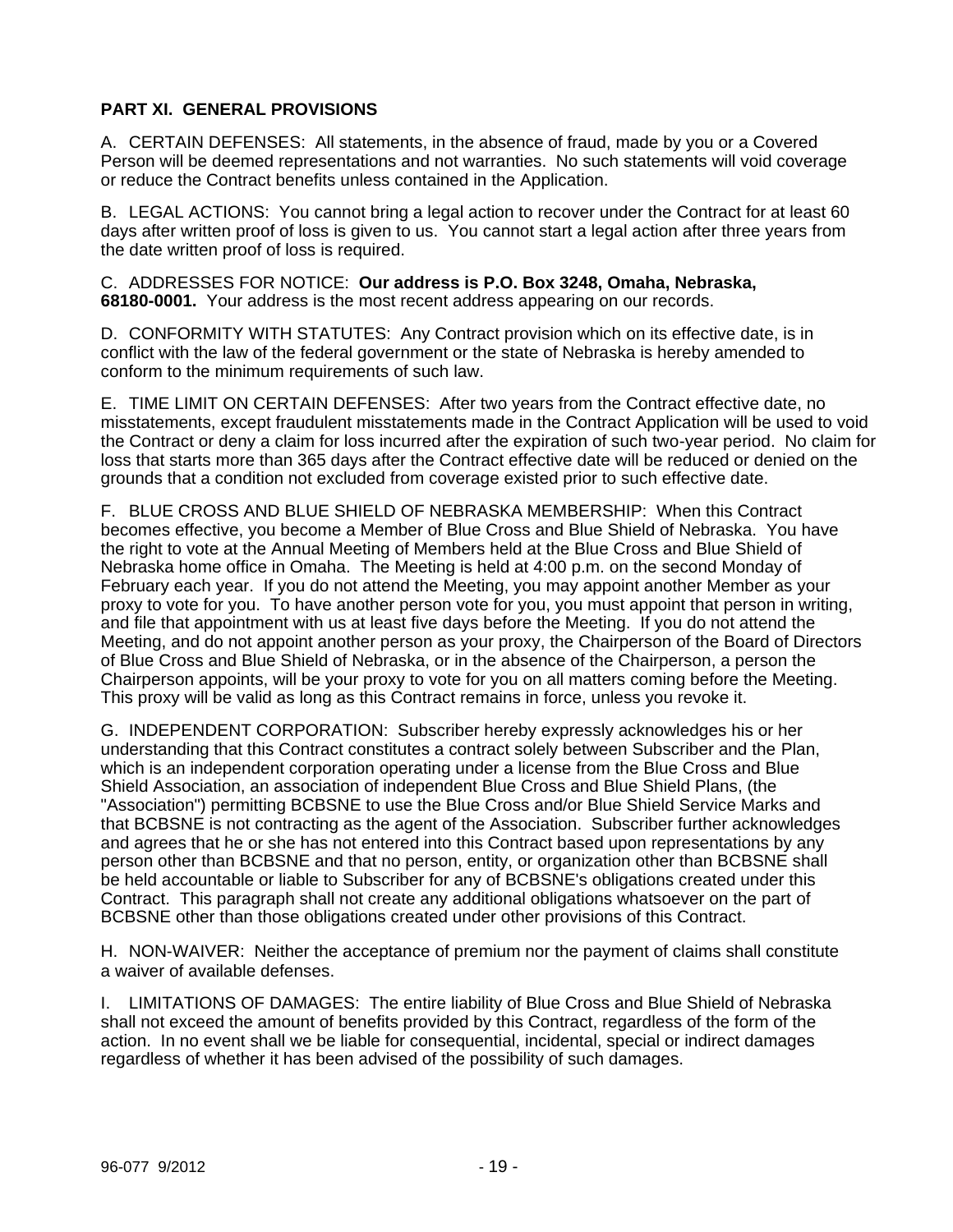# **PART XI. GENERAL PROVISIONS**

A. CERTAIN DEFENSES: All statements, in the absence of fraud, made by you or a Covered Person will be deemed representations and not warranties. No such statements will void coverage or reduce the Contract benefits unless contained in the Application.

B. LEGAL ACTIONS: You cannot bring a legal action to recover under the Contract for at least 60 days after written proof of loss is given to us. You cannot start a legal action after three years from the date written proof of loss is required.

C. ADDRESSES FOR NOTICE: **Our address is P.O. Box 3248, Omaha, Nebraska, 68180-0001.** Your address is the most recent address appearing on our records.

D. CONFORMITY WITH STATUTES: Any Contract provision which on its effective date, is in conflict with the law of the federal government or the state of Nebraska is hereby amended to conform to the minimum requirements of such law.

E. TIME LIMIT ON CERTAIN DEFENSES: After two years from the Contract effective date, no misstatements, except fraudulent misstatements made in the Contract Application will be used to void the Contract or deny a claim for loss incurred after the expiration of such two-year period. No claim for loss that starts more than 365 days after the Contract effective date will be reduced or denied on the grounds that a condition not excluded from coverage existed prior to such effective date.

F. BLUE CROSS AND BLUE SHIELD OF NEBRASKA MEMBERSHIP: When this Contract becomes effective, you become a Member of Blue Cross and Blue Shield of Nebraska. You have the right to vote at the Annual Meeting of Members held at the Blue Cross and Blue Shield of Nebraska home office in Omaha. The Meeting is held at 4:00 p.m. on the second Monday of February each year. If you do not attend the Meeting, you may appoint another Member as your proxy to vote for you. To have another person vote for you, you must appoint that person in writing, and file that appointment with us at least five days before the Meeting. If you do not attend the Meeting, and do not appoint another person as your proxy, the Chairperson of the Board of Directors of Blue Cross and Blue Shield of Nebraska, or in the absence of the Chairperson, a person the Chairperson appoints, will be your proxy to vote for you on all matters coming before the Meeting. This proxy will be valid as long as this Contract remains in force, unless you revoke it.

G. INDEPENDENT CORPORATION: Subscriber hereby expressly acknowledges his or her understanding that this Contract constitutes a contract solely between Subscriber and the Plan, which is an independent corporation operating under a license from the Blue Cross and Blue Shield Association, an association of independent Blue Cross and Blue Shield Plans, (the "Association") permitting BCBSNE to use the Blue Cross and/or Blue Shield Service Marks and that BCBSNE is not contracting as the agent of the Association. Subscriber further acknowledges and agrees that he or she has not entered into this Contract based upon representations by any person other than BCBSNE and that no person, entity, or organization other than BCBSNE shall be held accountable or liable to Subscriber for any of BCBSNE's obligations created under this Contract. This paragraph shall not create any additional obligations whatsoever on the part of BCBSNE other than those obligations created under other provisions of this Contract.

H. NON-WAIVER: Neither the acceptance of premium nor the payment of claims shall constitute a waiver of available defenses.

I. LIMITATIONS OF DAMAGES: The entire liability of Blue Cross and Blue Shield of Nebraska shall not exceed the amount of benefits provided by this Contract, regardless of the form of the action. In no event shall we be liable for consequential, incidental, special or indirect damages regardless of whether it has been advised of the possibility of such damages.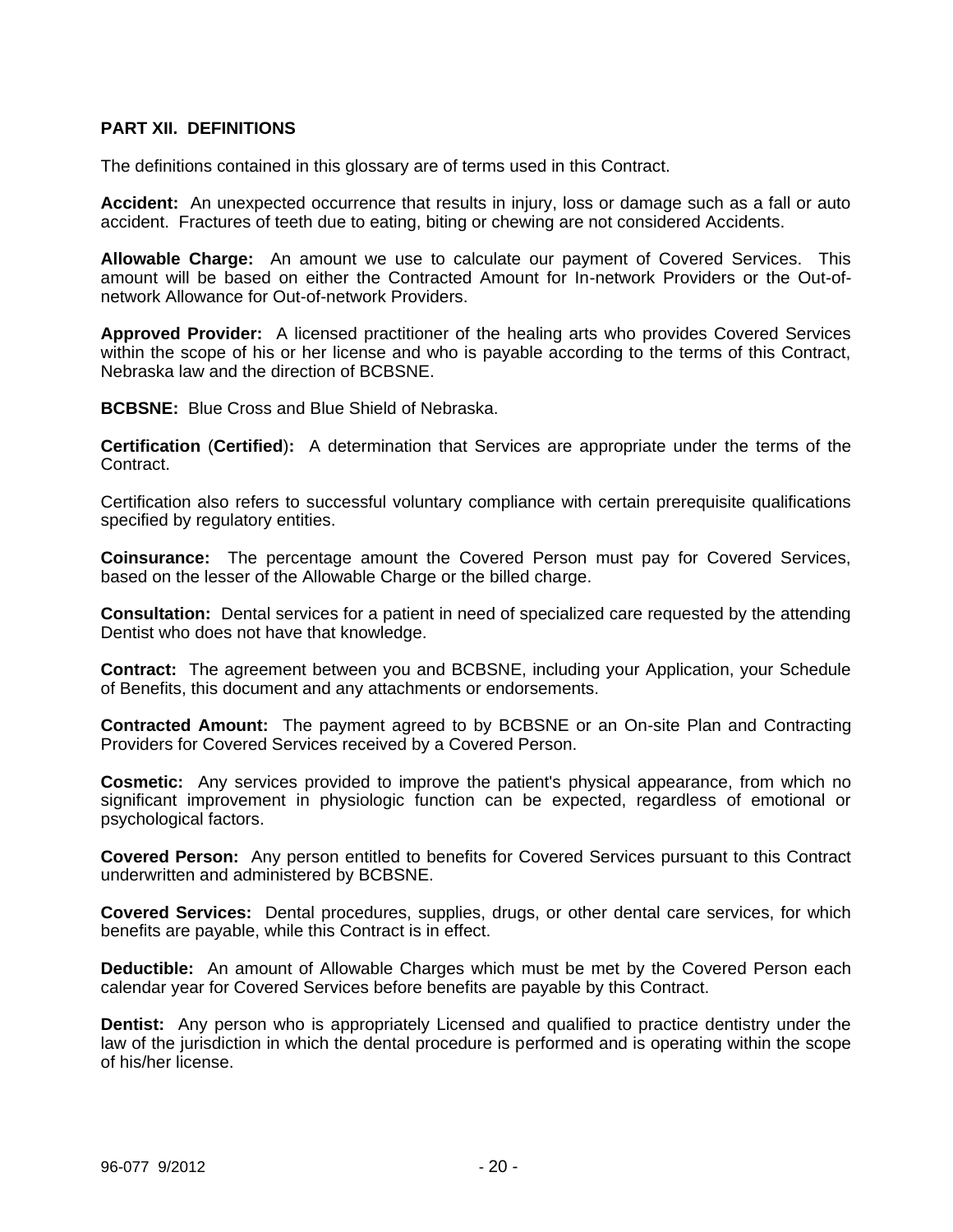## **PART XII. DEFINITIONS**

The definitions contained in this glossary are of terms used in this Contract.

**Accident:** An unexpected occurrence that results in injury, loss or damage such as a fall or auto accident. Fractures of teeth due to eating, biting or chewing are not considered Accidents.

**Allowable Charge:** An amount we use to calculate our payment of Covered Services. This amount will be based on either the Contracted Amount for In-network Providers or the Out-ofnetwork Allowance for Out-of-network Providers.

**Approved Provider:** A licensed practitioner of the healing arts who provides Covered Services within the scope of his or her license and who is payable according to the terms of this Contract, Nebraska law and the direction of BCBSNE.

**BCBSNE:** Blue Cross and Blue Shield of Nebraska.

**Certification** (**Certified**)**:** A determination that Services are appropriate under the terms of the Contract.

Certification also refers to successful voluntary compliance with certain prerequisite qualifications specified by regulatory entities.

**Coinsurance:** The percentage amount the Covered Person must pay for Covered Services, based on the lesser of the Allowable Charge or the billed charge.

**Consultation:** Dental services for a patient in need of specialized care requested by the attending Dentist who does not have that knowledge.

**Contract:** The agreement between you and BCBSNE, including your Application, your Schedule of Benefits, this document and any attachments or endorsements.

**Contracted Amount:** The payment agreed to by BCBSNE or an On-site Plan and Contracting Providers for Covered Services received by a Covered Person.

**Cosmetic:** Any services provided to improve the patient's physical appearance, from which no significant improvement in physiologic function can be expected, regardless of emotional or psychological factors.

**Covered Person:** Any person entitled to benefits for Covered Services pursuant to this Contract underwritten and administered by BCBSNE.

**Covered Services:** Dental procedures, supplies, drugs, or other dental care services, for which benefits are payable, while this Contract is in effect.

**Deductible:** An amount of Allowable Charges which must be met by the Covered Person each calendar year for Covered Services before benefits are payable by this Contract.

**Dentist:** Any person who is appropriately Licensed and qualified to practice dentistry under the law of the jurisdiction in which the dental procedure is performed and is operating within the scope of his/her license.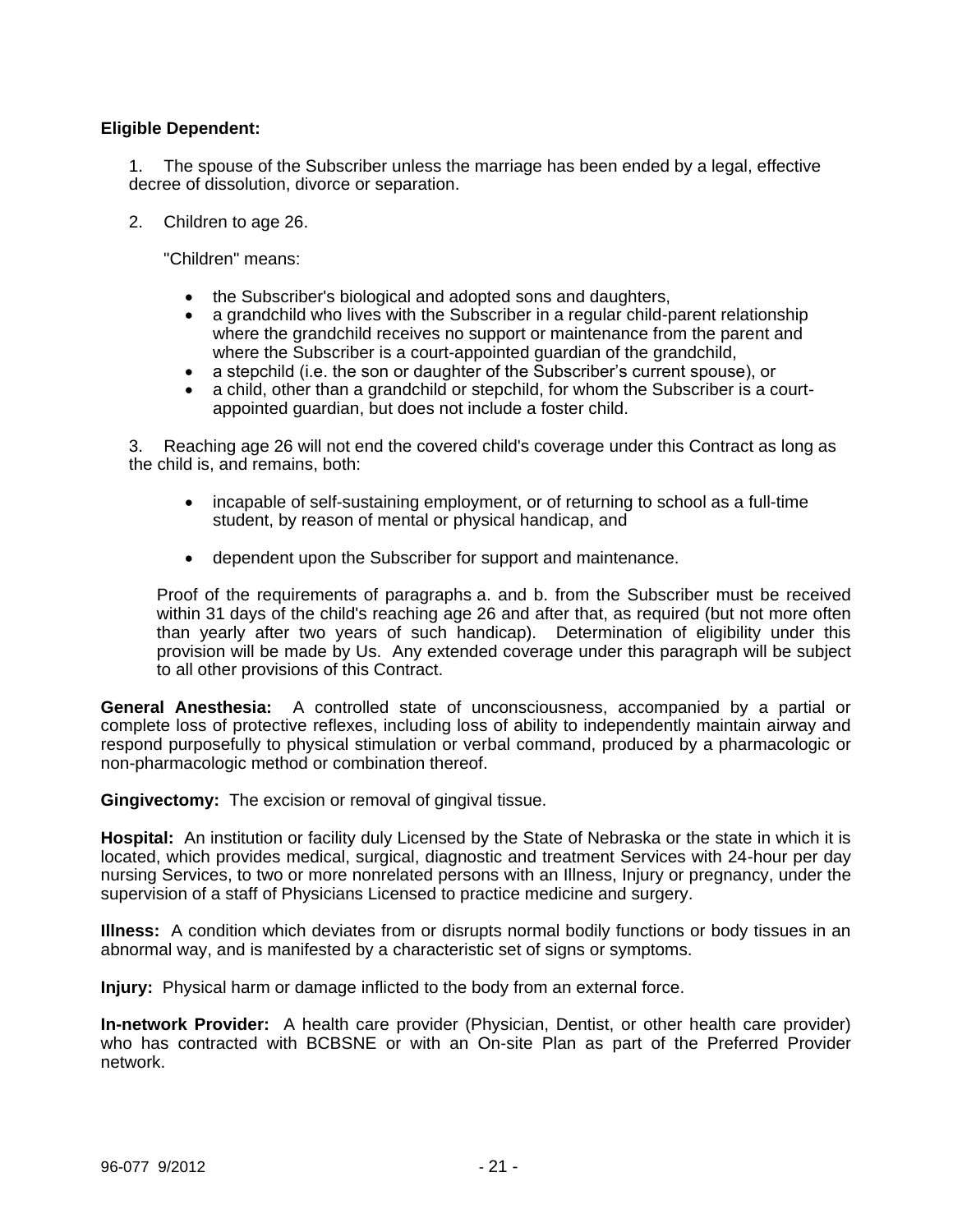## **Eligible Dependent:**

1. The spouse of the Subscriber unless the marriage has been ended by a legal, effective decree of dissolution, divorce or separation.

2. Children to age 26.

"Children" means:

- the Subscriber's biological and adopted sons and daughters,
- a grandchild who lives with the Subscriber in a regular child-parent relationship where the grandchild receives no support or maintenance from the parent and where the Subscriber is a court-appointed guardian of the grandchild,
- a stepchild (i.e. the son or daughter of the Subscriber's current spouse), or
- a child, other than a grandchild or stepchild, for whom the Subscriber is a courtappointed guardian, but does not include a foster child.

3. Reaching age 26 will not end the covered child's coverage under this Contract as long as the child is, and remains, both:

- incapable of self-sustaining employment, or of returning to school as a full-time student, by reason of mental or physical handicap, and
- dependent upon the Subscriber for support and maintenance.

Proof of the requirements of paragraphs a. and b. from the Subscriber must be received within 31 days of the child's reaching age 26 and after that, as required (but not more often than yearly after two years of such handicap). Determination of eligibility under this provision will be made by Us. Any extended coverage under this paragraph will be subject to all other provisions of this Contract.

**General Anesthesia:** A controlled state of unconsciousness, accompanied by a partial or complete loss of protective reflexes, including loss of ability to independently maintain airway and respond purposefully to physical stimulation or verbal command, produced by a pharmacologic or non-pharmacologic method or combination thereof.

**Gingivectomy:** The excision or removal of gingival tissue.

**Hospital:** An institution or facility duly Licensed by the State of Nebraska or the state in which it is located, which provides medical, surgical, diagnostic and treatment Services with 24-hour per day nursing Services, to two or more nonrelated persons with an Illness, Injury or pregnancy, under the supervision of a staff of Physicians Licensed to practice medicine and surgery.

**Illness:** A condition which deviates from or disrupts normal bodily functions or body tissues in an abnormal way, and is manifested by a characteristic set of signs or symptoms.

**Injury:** Physical harm or damage inflicted to the body from an external force.

**In-network Provider:** A health care provider (Physician, Dentist, or other health care provider) who has contracted with BCBSNE or with an On-site Plan as part of the Preferred Provider network.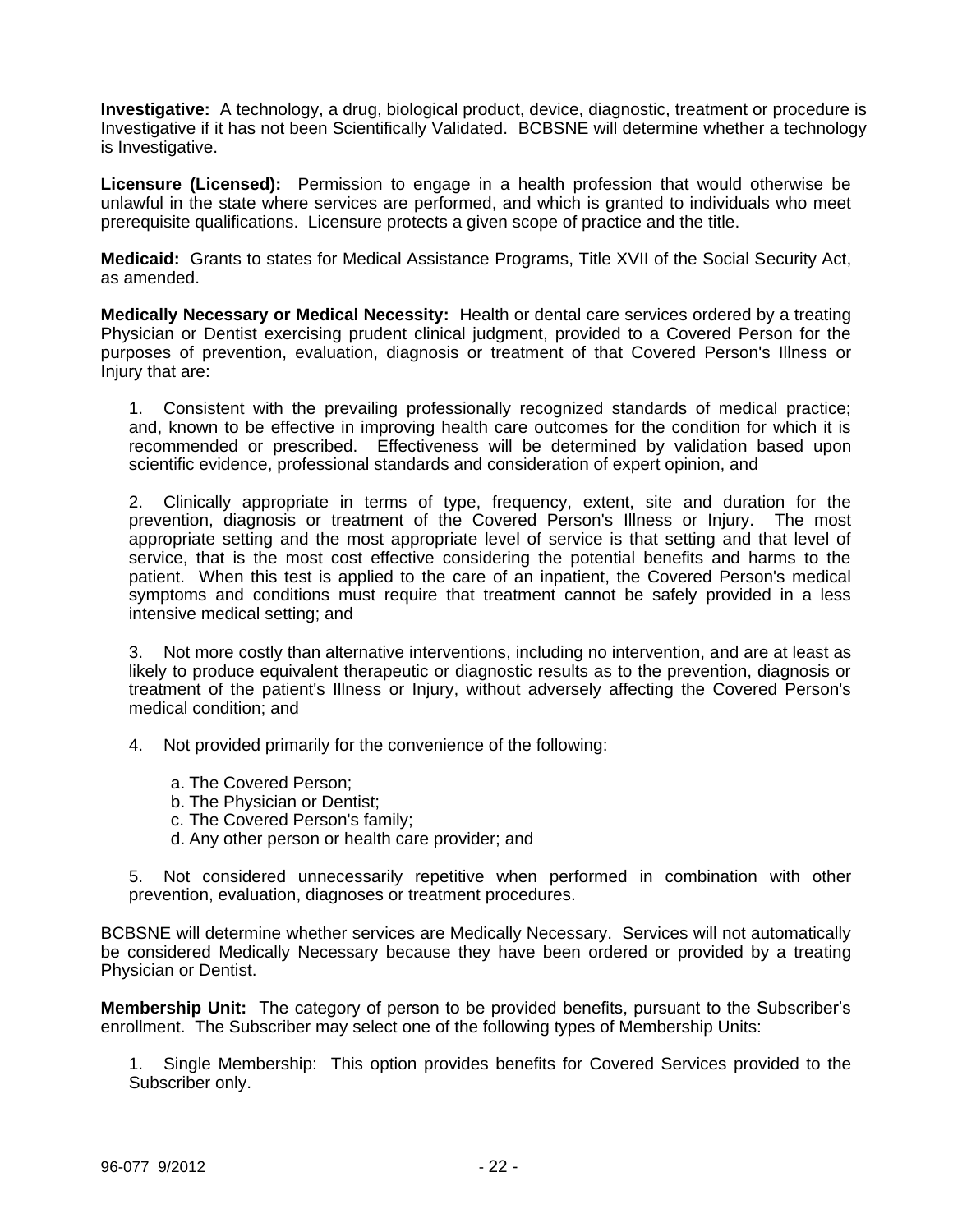**Investigative:** A technology, a drug, biological product, device, diagnostic, treatment or procedure is Investigative if it has not been Scientifically Validated.BCBSNE will determine whether a technology is Investigative.

**Licensure (Licensed):** Permission to engage in a health profession that would otherwise be unlawful in the state where services are performed, and which is granted to individuals who meet prerequisite qualifications. Licensure protects a given scope of practice and the title.

**Medicaid:** Grants to states for Medical Assistance Programs, Title XVII of the Social Security Act, as amended.

**Medically Necessary or Medical Necessity:** Health or dental care services ordered by a treating Physician or Dentist exercising prudent clinical judgment, provided to a Covered Person for the purposes of prevention, evaluation, diagnosis or treatment of that Covered Person's Illness or Injury that are:

1. Consistent with the prevailing professionally recognized standards of medical practice; and, known to be effective in improving health care outcomes for the condition for which it is recommended or prescribed. Effectiveness will be determined by validation based upon scientific evidence, professional standards and consideration of expert opinion, and

2. Clinically appropriate in terms of type, frequency, extent, site and duration for the prevention, diagnosis or treatment of the Covered Person's Illness or Injury. The most appropriate setting and the most appropriate level of service is that setting and that level of service, that is the most cost effective considering the potential benefits and harms to the patient. When this test is applied to the care of an inpatient, the Covered Person's medical symptoms and conditions must require that treatment cannot be safely provided in a less intensive medical setting; and

3. Not more costly than alternative interventions, including no intervention, and are at least as likely to produce equivalent therapeutic or diagnostic results as to the prevention, diagnosis or treatment of the patient's Illness or Injury, without adversely affecting the Covered Person's medical condition; and

4. Not provided primarily for the convenience of the following:

- a. The Covered Person;
- b. The Physician or Dentist;
- c. The Covered Person's family;
- d. Any other person or health care provider; and

5. Not considered unnecessarily repetitive when performed in combination with other prevention, evaluation, diagnoses or treatment procedures.

BCBSNE will determine whether services are Medically Necessary. Services will not automatically be considered Medically Necessary because they have been ordered or provided by a treating Physician or Dentist.

**Membership Unit:** The category of person to be provided benefits, pursuant to the Subscriber's enrollment. The Subscriber may select one of the following types of Membership Units:

1. Single Membership: This option provides benefits for Covered Services provided to the Subscriber only.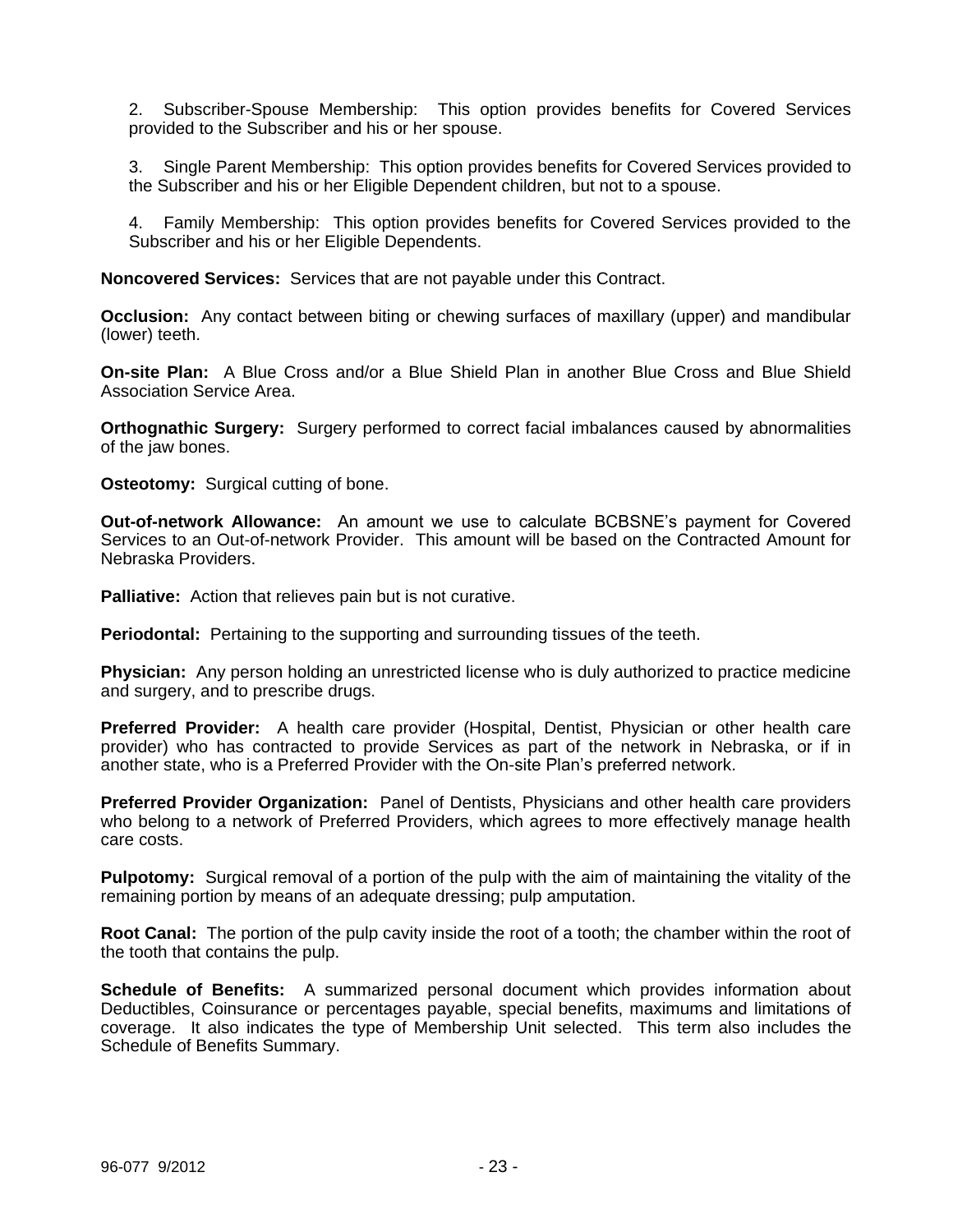2. Subscriber-Spouse Membership: This option provides benefits for Covered Services provided to the Subscriber and his or her spouse.

3. Single Parent Membership: This option provides benefits for Covered Services provided to the Subscriber and his or her Eligible Dependent children, but not to a spouse.

4. Family Membership: This option provides benefits for Covered Services provided to the Subscriber and his or her Eligible Dependents.

**Noncovered Services:** Services that are not payable under this Contract.

**Occlusion:** Any contact between biting or chewing surfaces of maxillary (upper) and mandibular (lower) teeth.

**On-site Plan:** A Blue Cross and/or a Blue Shield Plan in another Blue Cross and Blue Shield Association Service Area.

**Orthognathic Surgery:** Surgery performed to correct facial imbalances caused by abnormalities of the jaw bones.

**Osteotomy:** Surgical cutting of bone.

**Out-of-network Allowance:** An amount we use to calculate BCBSNE's payment for Covered Services to an Out-of-network Provider. This amount will be based on the Contracted Amount for Nebraska Providers.

**Palliative:** Action that relieves pain but is not curative.

**Periodontal:** Pertaining to the supporting and surrounding tissues of the teeth.

**Physician:** Any person holding an unrestricted license who is duly authorized to practice medicine and surgery, and to prescribe drugs.

**Preferred Provider:** A health care provider (Hospital, Dentist, Physician or other health care provider) who has contracted to provide Services as part of the network in Nebraska, or if in another state, who is a Preferred Provider with the On-site Plan's preferred network.

**Preferred Provider Organization:** Panel of Dentists, Physicians and other health care providers who belong to a network of Preferred Providers, which agrees to more effectively manage health care costs.

**Pulpotomy:** Surgical removal of a portion of the pulp with the aim of maintaining the vitality of the remaining portion by means of an adequate dressing; pulp amputation.

**Root Canal:** The portion of the pulp cavity inside the root of a tooth; the chamber within the root of the tooth that contains the pulp.

**Schedule of Benefits:** A summarized personal document which provides information about Deductibles, Coinsurance or percentages payable, special benefits, maximums and limitations of coverage. It also indicates the type of Membership Unit selected. This term also includes the Schedule of Benefits Summary.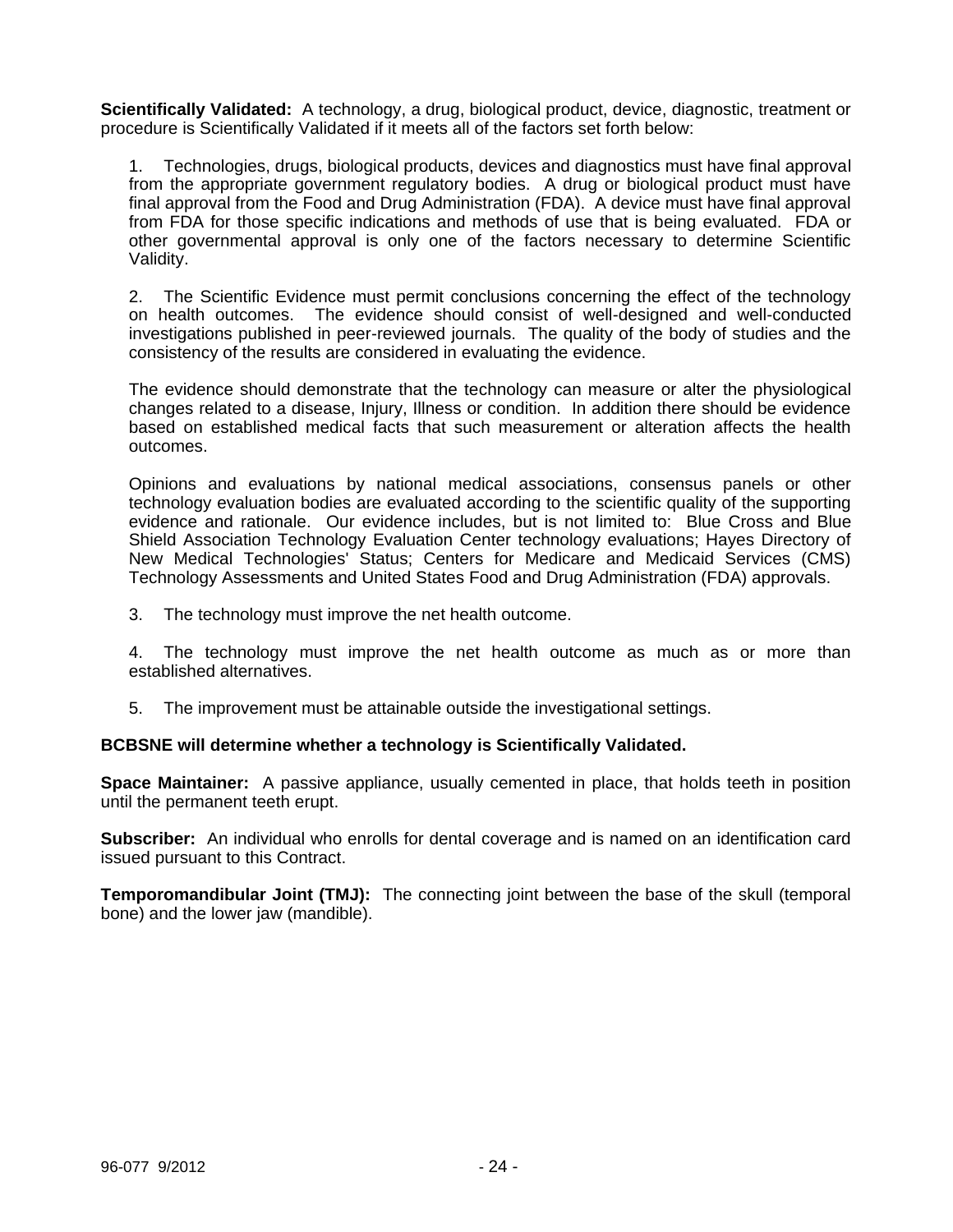**Scientifically Validated:** A technology, a drug, biological product, device, diagnostic, treatment or procedure is Scientifically Validated if it meets all of the factors set forth below:

1. Technologies, drugs, biological products, devices and diagnostics must have final approval from the appropriate government regulatory bodies. A drug or biological product must have final approval from the Food and Drug Administration (FDA). A device must have final approval from FDA for those specific indications and methods of use that is being evaluated. FDA or other governmental approval is only one of the factors necessary to determine Scientific Validity.

2. The Scientific Evidence must permit conclusions concerning the effect of the technology on health outcomes. The evidence should consist of well-designed and well-conducted investigations published in peer-reviewed journals. The quality of the body of studies and the consistency of the results are considered in evaluating the evidence.

The evidence should demonstrate that the technology can measure or alter the physiological changes related to a disease, Injury, Illness or condition. In addition there should be evidence based on established medical facts that such measurement or alteration affects the health outcomes.

Opinions and evaluations by national medical associations, consensus panels or other technology evaluation bodies are evaluated according to the scientific quality of the supporting evidence and rationale. Our evidence includes, but is not limited to: Blue Cross and Blue Shield Association Technology Evaluation Center technology evaluations; Hayes Directory of New Medical Technologies' Status; Centers for Medicare and Medicaid Services (CMS) Technology Assessments and United States Food and Drug Administration (FDA) approvals.

- 3. The technology must improve the net health outcome.
- 4. The technology must improve the net health outcome as much as or more than established alternatives.
- 5. The improvement must be attainable outside the investigational settings.

## **BCBSNE will determine whether a technology is Scientifically Validated.**

**Space Maintainer:** A passive appliance, usually cemented in place, that holds teeth in position until the permanent teeth erupt.

**Subscriber:** An individual who enrolls for dental coverage and is named on an identification card issued pursuant to this Contract.

**Temporomandibular Joint (TMJ):** The connecting joint between the base of the skull (temporal bone) and the lower jaw (mandible).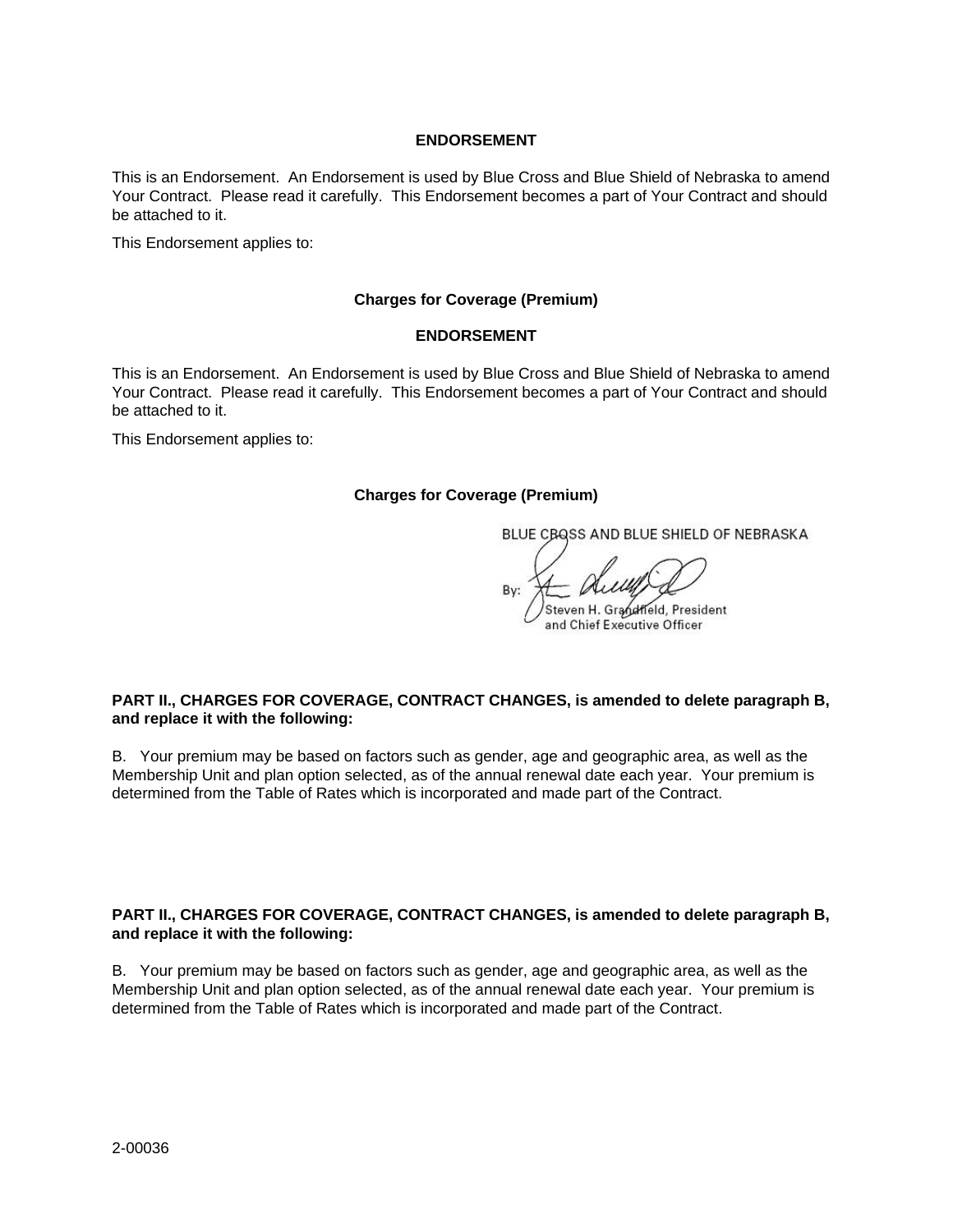#### **ENDORSEMENT**

This is an Endorsement. An Endorsement is used by Blue Cross and Blue Shield of Nebraska to amend Your Contract. Please read it carefully. This Endorsement becomes a part of Your Contract and should be attached to it.

This Endorsement applies to:

#### **Charges for Coverage (Premium)**

#### **ENDORSEMENT**

This is an Endorsement. An Endorsement is used by Blue Cross and Blue Shield of Nebraska to amend Your Contract. Please read it carefully. This Endorsement becomes a part of Your Contract and should be attached to it.

This Endorsement applies to:

#### **Charges for Coverage (Premium)**

BLUE CBQSS AND BLUE SHIELD OF NEBRASKA

R<sub>v</sub>

teven H. Grandfield, President and Chief Executive Officer

### **PART II., CHARGES FOR COVERAGE, CONTRACT CHANGES, is amended to delete paragraph B, and replace it with the following:**

B. Your premium may be based on factors such as gender, age and geographic area, as well as the Membership Unit and plan option selected, as of the annual renewal date each year. Your premium is determined from the Table of Rates which is incorporated and made part of the Contract.

#### **PART II., CHARGES FOR COVERAGE, CONTRACT CHANGES, is amended to delete paragraph B, and replace it with the following:**

B. Your premium may be based on factors such as gender, age and geographic area, as well as the Membership Unit and plan option selected, as of the annual renewal date each year. Your premium is determined from the Table of Rates which is incorporated and made part of the Contract.